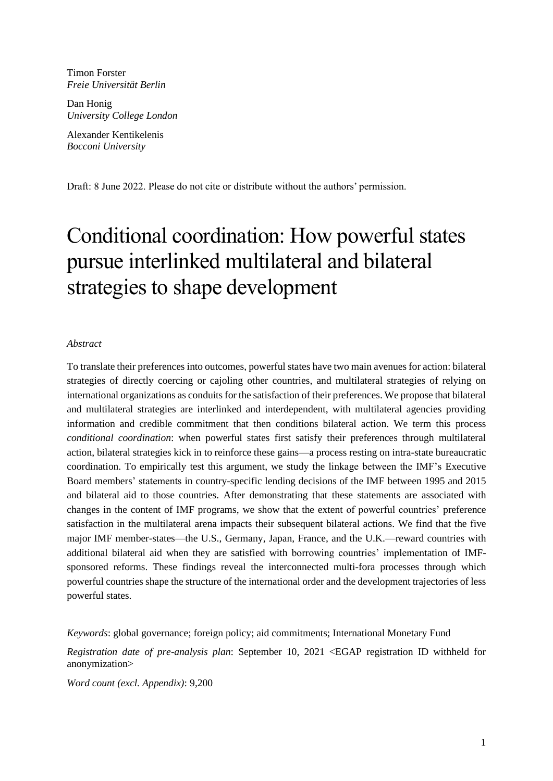Timon Forster *Freie Universität Berlin*

Dan Honig *University College London*

Alexander Kentikelenis *Bocconi University*

Draft: 8 June 2022. Please do not cite or distribute without the authors' permission.

# Conditional coordination: How powerful states pursue interlinked multilateral and bilateral strategies to shape development

#### *Abstract*

To translate their preferences into outcomes, powerful states have two main avenues for action: bilateral strategies of directly coercing or cajoling other countries, and multilateral strategies of relying on international organizations as conduits for the satisfaction of their preferences. We propose that bilateral and multilateral strategies are interlinked and interdependent, with multilateral agencies providing information and credible commitment that then conditions bilateral action. We term this process *conditional coordination*: when powerful states first satisfy their preferences through multilateral action, bilateral strategies kick in to reinforce these gains—a process resting on intra-state bureaucratic coordination. To empirically test this argument, we study the linkage between the IMF's Executive Board members' statements in country-specific lending decisions of the IMF between 1995 and 2015 and bilateral aid to those countries. After demonstrating that these statements are associated with changes in the content of IMF programs, we show that the extent of powerful countries' preference satisfaction in the multilateral arena impacts their subsequent bilateral actions. We find that the five major IMF member-states—the U.S., Germany, Japan, France, and the U.K.—reward countries with additional bilateral aid when they are satisfied with borrowing countries' implementation of IMFsponsored reforms. These findings reveal the interconnected multi-fora processes through which powerful countries shape the structure of the international order and the development trajectories of less powerful states.

*Keywords*: global governance; foreign policy; aid commitments; International Monetary Fund

*Registration date of pre-analysis plan*: September 10, 2021 <EGAP registration ID withheld for anonymization>

*Word count (excl. Appendix)*: 9,200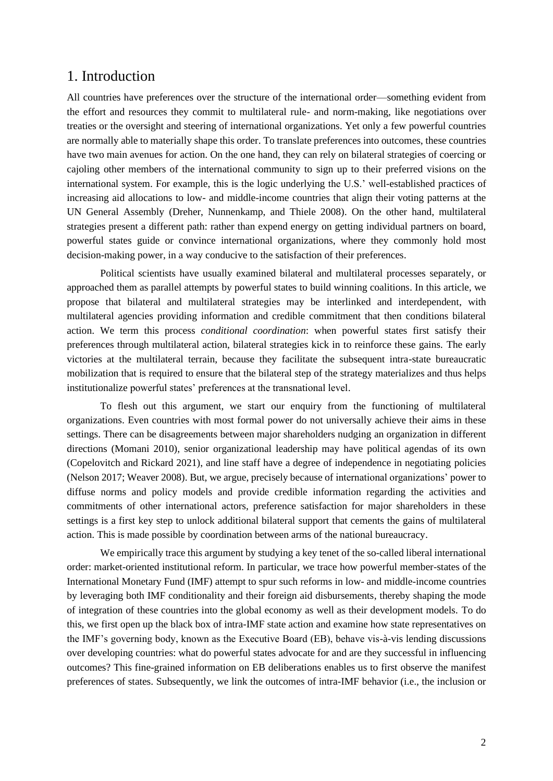### 1. Introduction

All countries have preferences over the structure of the international order—something evident from the effort and resources they commit to multilateral rule- and norm-making, like negotiations over treaties or the oversight and steering of international organizations. Yet only a few powerful countries are normally able to materially shape this order. To translate preferences into outcomes, these countries have two main avenues for action. On the one hand, they can rely on bilateral strategies of coercing or cajoling other members of the international community to sign up to their preferred visions on the international system. For example, this is the logic underlying the U.S.' well-established practices of increasing aid allocations to low- and middle-income countries that align their voting patterns at the UN General Assembly (Dreher, Nunnenkamp, and Thiele 2008). On the other hand, multilateral strategies present a different path: rather than expend energy on getting individual partners on board, powerful states guide or convince international organizations, where they commonly hold most decision-making power, in a way conducive to the satisfaction of their preferences.

Political scientists have usually examined bilateral and multilateral processes separately, or approached them as parallel attempts by powerful states to build winning coalitions. In this article, we propose that bilateral and multilateral strategies may be interlinked and interdependent, with multilateral agencies providing information and credible commitment that then conditions bilateral action. We term this process *conditional coordination*: when powerful states first satisfy their preferences through multilateral action, bilateral strategies kick in to reinforce these gains. The early victories at the multilateral terrain, because they facilitate the subsequent intra-state bureaucratic mobilization that is required to ensure that the bilateral step of the strategy materializes and thus helps institutionalize powerful states' preferences at the transnational level.

To flesh out this argument, we start our enquiry from the functioning of multilateral organizations. Even countries with most formal power do not universally achieve their aims in these settings. There can be disagreements between major shareholders nudging an organization in different directions (Momani 2010), senior organizational leadership may have political agendas of its own (Copelovitch and Rickard 2021), and line staff have a degree of independence in negotiating policies (Nelson 2017; Weaver 2008). But, we argue, precisely because of international organizations' power to diffuse norms and policy models and provide credible information regarding the activities and commitments of other international actors, preference satisfaction for major shareholders in these settings is a first key step to unlock additional bilateral support that cements the gains of multilateral action. This is made possible by coordination between arms of the national bureaucracy.

We empirically trace this argument by studying a key tenet of the so-called liberal international order: market-oriented institutional reform. In particular, we trace how powerful member-states of the International Monetary Fund (IMF) attempt to spur such reforms in low- and middle-income countries by leveraging both IMF conditionality and their foreign aid disbursements, thereby shaping the mode of integration of these countries into the global economy as well as their development models. To do this, we first open up the black box of intra-IMF state action and examine how state representatives on the IMF's governing body, known as the Executive Board (EB), behave vis-à-vis lending discussions over developing countries: what do powerful states advocate for and are they successful in influencing outcomes? This fine-grained information on EB deliberations enables us to first observe the manifest preferences of states. Subsequently, we link the outcomes of intra-IMF behavior (i.e., the inclusion or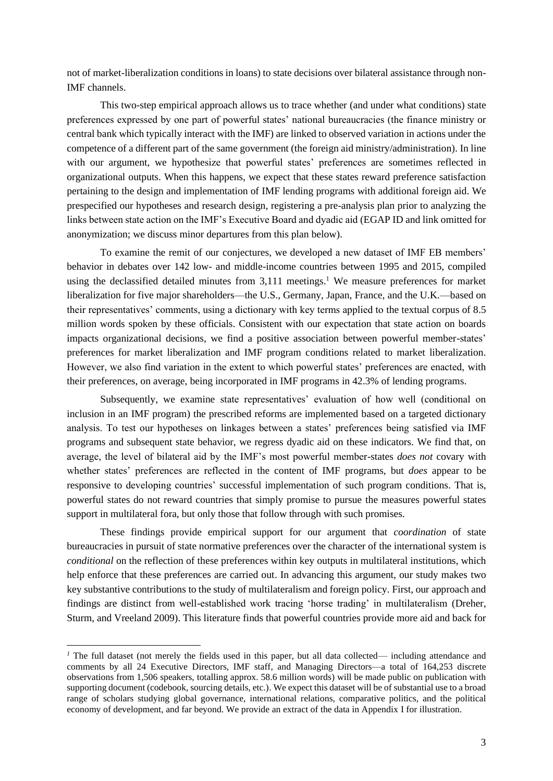not of market-liberalization conditions in loans) to state decisions over bilateral assistance through non-IMF channels.

This two-step empirical approach allows us to trace whether (and under what conditions) state preferences expressed by one part of powerful states' national bureaucracies (the finance ministry or central bank which typically interact with the IMF) are linked to observed variation in actions under the competence of a different part of the same government (the foreign aid ministry/administration). In line with our argument, we hypothesize that powerful states' preferences are sometimes reflected in organizational outputs. When this happens, we expect that these states reward preference satisfaction pertaining to the design and implementation of IMF lending programs with additional foreign aid. We prespecified our hypotheses and research design, registering a pre-analysis plan prior to analyzing the links between state action on the IMF's Executive Board and dyadic aid (EGAP ID and link omitted for anonymization; we discuss minor departures from this plan below).

To examine the remit of our conjectures, we developed a new dataset of IMF EB members' behavior in debates over 142 low- and middle-income countries between 1995 and 2015, compiled using the declassified detailed minutes from 3,111 meetings.<sup>1</sup> We measure preferences for market liberalization for five major shareholders—the U.S., Germany, Japan, France, and the U.K.—based on their representatives' comments, using a dictionary with key terms applied to the textual corpus of 8.5 million words spoken by these officials. Consistent with our expectation that state action on boards impacts organizational decisions, we find a positive association between powerful member-states' preferences for market liberalization and IMF program conditions related to market liberalization. However, we also find variation in the extent to which powerful states' preferences are enacted, with their preferences, on average, being incorporated in IMF programs in 42.3% of lending programs.

Subsequently, we examine state representatives' evaluation of how well (conditional on inclusion in an IMF program) the prescribed reforms are implemented based on a targeted dictionary analysis. To test our hypotheses on linkages between a states' preferences being satisfied via IMF programs and subsequent state behavior, we regress dyadic aid on these indicators. We find that, on average, the level of bilateral aid by the IMF's most powerful member-states *does not* covary with whether states' preferences are reflected in the content of IMF programs, but *does* appear to be responsive to developing countries' successful implementation of such program conditions. That is, powerful states do not reward countries that simply promise to pursue the measures powerful states support in multilateral fora, but only those that follow through with such promises.

These findings provide empirical support for our argument that *coordination* of state bureaucracies in pursuit of state normative preferences over the character of the international system is *conditional* on the reflection of these preferences within key outputs in multilateral institutions, which help enforce that these preferences are carried out. In advancing this argument, our study makes two key substantive contributions to the study of multilateralism and foreign policy. First, our approach and findings are distinct from well-established work tracing 'horse trading' in multilateralism (Dreher, Sturm, and Vreeland 2009). This literature finds that powerful countries provide more aid and back for

*<sup>1</sup>* The full dataset (not merely the fields used in this paper, but all data collected— including attendance and comments by all 24 Executive Directors, IMF staff, and Managing Directors—a total of 164,253 discrete observations from 1,506 speakers, totalling approx. 58.6 million words) will be made public on publication with supporting document (codebook, sourcing details, etc.). We expect this dataset will be of substantial use to a broad range of scholars studying global governance, international relations, comparative politics, and the political economy of development, and far beyond. We provide an extract of the data in Appendix I for illustration.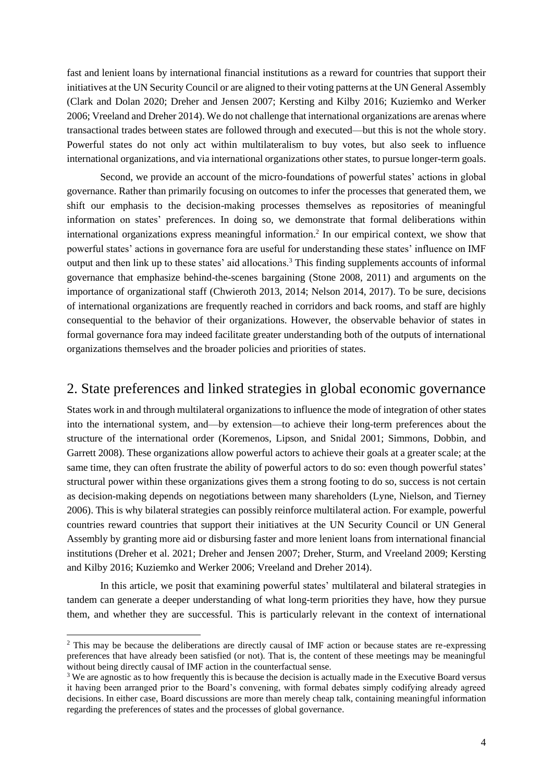fast and lenient loans by international financial institutions as a reward for countries that support their initiatives at the UN Security Council or are aligned to their voting patterns at the UN General Assembly (Clark and Dolan 2020; Dreher and Jensen 2007; Kersting and Kilby 2016; Kuziemko and Werker 2006; Vreeland and Dreher 2014). We do not challenge that international organizations are arenas where transactional trades between states are followed through and executed—but this is not the whole story. Powerful states do not only act within multilateralism to buy votes, but also seek to influence international organizations, and via international organizations other states, to pursue longer-term goals.

Second, we provide an account of the micro-foundations of powerful states' actions in global governance. Rather than primarily focusing on outcomes to infer the processes that generated them, we shift our emphasis to the decision-making processes themselves as repositories of meaningful information on states' preferences. In doing so, we demonstrate that formal deliberations within international organizations express meaningful information. 2 In our empirical context, we show that powerful states' actions in governance fora are useful for understanding these states' influence on IMF output and then link up to these states' aid allocations.<sup>3</sup> This finding supplements accounts of informal governance that emphasize behind-the-scenes bargaining (Stone 2008, 2011) and arguments on the importance of organizational staff (Chwieroth 2013, 2014; Nelson 2014, 2017). To be sure, decisions of international organizations are frequently reached in corridors and back rooms, and staff are highly consequential to the behavior of their organizations. However, the observable behavior of states in formal governance fora may indeed facilitate greater understanding both of the outputs of international organizations themselves and the broader policies and priorities of states.

### 2. State preferences and linked strategies in global economic governance

States work in and through multilateral organizations to influence the mode of integration of other states into the international system, and—by extension—to achieve their long-term preferences about the structure of the international order (Koremenos, Lipson, and Snidal 2001; Simmons, Dobbin, and Garrett 2008). These organizations allow powerful actors to achieve their goals at a greater scale; at the same time, they can often frustrate the ability of powerful actors to do so: even though powerful states' structural power within these organizations gives them a strong footing to do so, success is not certain as decision-making depends on negotiations between many shareholders (Lyne, Nielson, and Tierney 2006). This is why bilateral strategies can possibly reinforce multilateral action. For example, powerful countries reward countries that support their initiatives at the UN Security Council or UN General Assembly by granting more aid or disbursing faster and more lenient loans from international financial institutions (Dreher et al. 2021; Dreher and Jensen 2007; Dreher, Sturm, and Vreeland 2009; Kersting and Kilby 2016; Kuziemko and Werker 2006; Vreeland and Dreher 2014).

In this article, we posit that examining powerful states' multilateral and bilateral strategies in tandem can generate a deeper understanding of what long-term priorities they have, how they pursue them, and whether they are successful. This is particularly relevant in the context of international

<sup>2</sup> This may be because the deliberations are directly causal of IMF action or because states are re-expressing preferences that have already been satisfied (or not). That is, the content of these meetings may be meaningful without being directly causal of IMF action in the counterfactual sense.

<sup>&</sup>lt;sup>3</sup> We are agnostic as to how frequently this is because the decision is actually made in the Executive Board versus it having been arranged prior to the Board's convening, with formal debates simply codifying already agreed decisions. In either case, Board discussions are more than merely cheap talk, containing meaningful information regarding the preferences of states and the processes of global governance.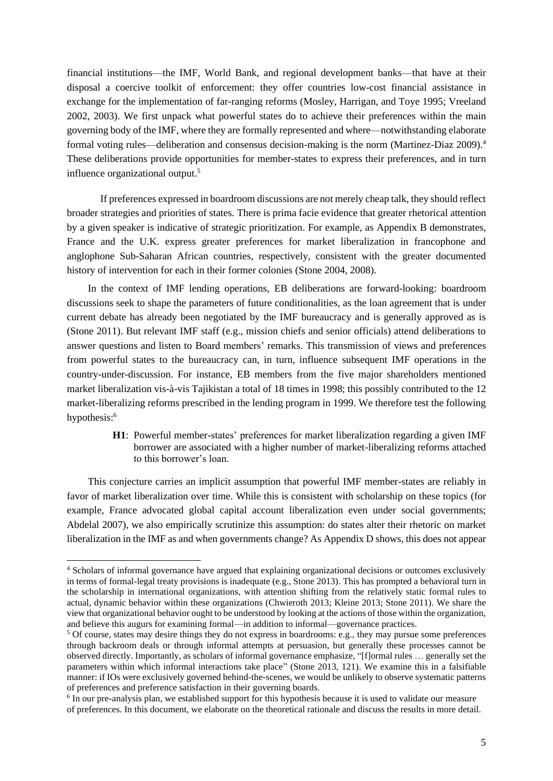financial institutions—the IMF, World Bank, and regional development banks—that have at their disposal a coercive toolkit of enforcement: they offer countries low-cost financial assistance in exchange for the implementation of far-ranging reforms (Mosley, Harrigan, and Toye 1995; Vreeland 2002, 2003). We first unpack what powerful states do to achieve their preferences within the main governing body of the IMF, where they are formally represented and where—notwithstanding elaborate formal voting rules—deliberation and consensus decision-making is the norm (Martinez-Diaz 2009). 4 These deliberations provide opportunities for member-states to express their preferences, and in turn influence organizational output. 5

If preferences expressed in boardroom discussions are not merely cheap talk, they should reflect broader strategies and priorities of states. There is prima facie evidence that greater rhetorical attention by a given speaker is indicative of strategic prioritization. For example, as Appendix B demonstrates, France and the U.K. express greater preferences for market liberalization in francophone and anglophone Sub-Saharan African countries, respectively, consistent with the greater documented history of intervention for each in their former colonies (Stone 2004, 2008).

In the context of IMF lending operations, EB deliberations are forward-looking: boardroom discussions seek to shape the parameters of future conditionalities, as the loan agreement that is under current debate has already been negotiated by the IMF bureaucracy and is generally approved as is (Stone 2011). But relevant IMF staff (e.g., mission chiefs and senior officials) attend deliberations to answer questions and listen to Board members' remarks. This transmission of views and preferences from powerful states to the bureaucracy can, in turn, influence subsequent IMF operations in the country-under-discussion. For instance, EB members from the five major shareholders mentioned market liberalization vis-à-vis Tajikistan a total of 18 times in 1998; this possibly contributed to the 12 market-liberalizing reforms prescribed in the lending program in 1999. We therefore test the following hypothesis: 6

> **H1**: Powerful member-states' preferences for market liberalization regarding a given IMF borrower are associated with a higher number of market-liberalizing reforms attached to this borrower's loan.

This conjecture carries an implicit assumption that powerful IMF member-states are reliably in favor of market liberalization over time. While this is consistent with scholarship on these topics (for example, France advocated global capital account liberalization even under social governments; Abdelal 2007), we also empirically scrutinize this assumption: do states alter their rhetoric on market liberalization in the IMF as and when governments change? As Appendix D shows, this does not appear

<sup>4</sup> Scholars of informal governance have argued that explaining organizational decisions or outcomes exclusively in terms of formal-legal treaty provisions is inadequate (e.g., Stone 2013). This has prompted a behavioral turn in the scholarship in international organizations, with attention shifting from the relatively static formal rules to actual, dynamic behavior within these organizations (Chwieroth 2013; Kleine 2013; Stone 2011). We share the view that organizational behavior ought to be understood by looking at the actions of those within the organization, and believe this augurs for examining formal—in addition to informal—governance practices.

<sup>&</sup>lt;sup>5</sup> Of course, states may desire things they do not express in boardrooms: e.g., they may pursue some preferences through backroom deals or through informal attempts at persuasion, but generally these processes cannot be observed directly. Importantly, as scholars of informal governance emphasize, "[f]ormal rules … generally set the parameters within which informal interactions take place" (Stone 2013, 121). We examine this in a falsifiable manner: if IOs were exclusively governed behind-the-scenes, we would be unlikely to observe systematic patterns of preferences and preference satisfaction in their governing boards.

<sup>&</sup>lt;sup>6</sup> In our pre-analysis plan, we established support for this hypothesis because it is used to validate our measure of preferences. In this document, we elaborate on the theoretical rationale and discuss the results in more detail.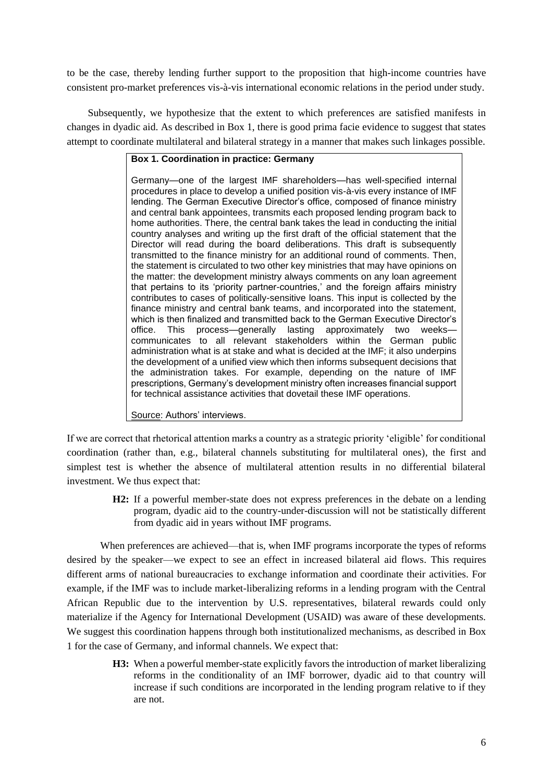to be the case, thereby lending further support to the proposition that high-income countries have consistent pro-market preferences vis-à-vis international economic relations in the period under study.

Subsequently, we hypothesize that the extent to which preferences are satisfied manifests in changes in dyadic aid. As described in Box 1, there is good prima facie evidence to suggest that states attempt to coordinate multilateral and bilateral strategy in a manner that makes such linkages possible.

### **Box 1. Coordination in practice: Germany**

Germany—one of the largest IMF shareholders—has well-specified internal procedures in place to develop a unified position vis-à-vis every instance of IMF lending. The German Executive Director's office, composed of finance ministry and central bank appointees, transmits each proposed lending program back to home authorities. There, the central bank takes the lead in conducting the initial country analyses and writing up the first draft of the official statement that the Director will read during the board deliberations. This draft is subsequently transmitted to the finance ministry for an additional round of comments. Then, the statement is circulated to two other key ministries that may have opinions on the matter: the development ministry always comments on any loan agreement that pertains to its 'priority partner-countries,' and the foreign affairs ministry contributes to cases of politically-sensitive loans. This input is collected by the finance ministry and central bank teams, and incorporated into the statement, which is then finalized and transmitted back to the German Executive Director's office. This process—generally lasting approximately two weeks communicates to all relevant stakeholders within the German public administration what is at stake and what is decided at the IMF; it also underpins the development of a unified view which then informs subsequent decisions that the administration takes. For example, depending on the nature of IMF prescriptions, Germany's development ministry often increases financial support for technical assistance activities that dovetail these IMF operations.

Source: Authors' interviews.

If we are correct that rhetorical attention marks a country as a strategic priority 'eligible' for conditional coordination (rather than, e.g., bilateral channels substituting for multilateral ones), the first and simplest test is whether the absence of multilateral attention results in no differential bilateral investment. We thus expect that:

> **H2:** If a powerful member-state does not express preferences in the debate on a lending program, dyadic aid to the country-under-discussion will not be statistically different from dyadic aid in years without IMF programs.

When preferences are achieved—that is, when IMF programs incorporate the types of reforms desired by the speaker—we expect to see an effect in increased bilateral aid flows. This requires different arms of national bureaucracies to exchange information and coordinate their activities. For example, if the IMF was to include market-liberalizing reforms in a lending program with the Central African Republic due to the intervention by U.S. representatives, bilateral rewards could only materialize if the Agency for International Development (USAID) was aware of these developments. We suggest this coordination happens through both institutionalized mechanisms, as described in Box 1 for the case of Germany, and informal channels. We expect that:

> **H3:** When a powerful member-state explicitly favors the introduction of market liberalizing reforms in the conditionality of an IMF borrower, dyadic aid to that country will increase if such conditions are incorporated in the lending program relative to if they are not.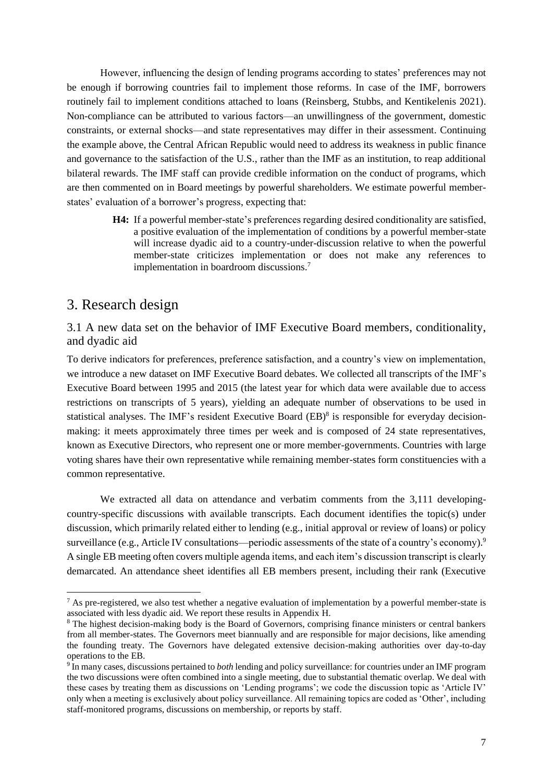However, influencing the design of lending programs according to states' preferences may not be enough if borrowing countries fail to implement those reforms. In case of the IMF, borrowers routinely fail to implement conditions attached to loans (Reinsberg, Stubbs, and Kentikelenis 2021). Non-compliance can be attributed to various factors—an unwillingness of the government, domestic constraints, or external shocks—and state representatives may differ in their assessment. Continuing the example above, the Central African Republic would need to address its weakness in public finance and governance to the satisfaction of the U.S., rather than the IMF as an institution, to reap additional bilateral rewards. The IMF staff can provide credible information on the conduct of programs, which are then commented on in Board meetings by powerful shareholders. We estimate powerful memberstates' evaluation of a borrower's progress, expecting that:

> **H4:** If a powerful member-state's preferences regarding desired conditionality are satisfied, a positive evaluation of the implementation of conditions by a powerful member-state will increase dyadic aid to a country-under-discussion relative to when the powerful member-state criticizes implementation or does not make any references to implementation in boardroom discussions.<sup>7</sup>

### 3. Research design

3.1 A new data set on the behavior of IMF Executive Board members, conditionality, and dyadic aid

To derive indicators for preferences, preference satisfaction, and a country's view on implementation, we introduce a new dataset on IMF Executive Board debates. We collected all transcripts of the IMF's Executive Board between 1995 and 2015 (the latest year for which data were available due to access restrictions on transcripts of 5 years), yielding an adequate number of observations to be used in statistical analyses. The IMF's resident Executive Board (EB)<sup>8</sup> is responsible for everyday decisionmaking: it meets approximately three times per week and is composed of 24 state representatives, known as Executive Directors, who represent one or more member-governments. Countries with large voting shares have their own representative while remaining member-states form constituencies with a common representative.

We extracted all data on attendance and verbatim comments from the 3,111 developingcountry-specific discussions with available transcripts. Each document identifies the topic(s) under discussion, which primarily related either to lending (e.g., initial approval or review of loans) or policy surveillance (e.g., Article IV consultations—periodic assessments of the state of a country's economy).<sup>9</sup> A single EB meeting often covers multiple agenda items, and each item's discussion transcript is clearly demarcated. An attendance sheet identifies all EB members present, including their rank (Executive

 $<sup>7</sup>$  As pre-registered, we also test whether a negative evaluation of implementation by a powerful member-state is</sup> associated with less dyadic aid. We report these results in Appendix H.

<sup>&</sup>lt;sup>8</sup> The highest decision-making body is the Board of Governors, comprising finance ministers or central bankers from all member-states. The Governors meet biannually and are responsible for major decisions, like amending the founding treaty. The Governors have delegated extensive decision-making authorities over day-to-day operations to the EB.

<sup>9</sup> In many cases, discussions pertained to *both* lending and policy surveillance: for countries under an IMF program the two discussions were often combined into a single meeting, due to substantial thematic overlap. We deal with these cases by treating them as discussions on 'Lending programs'; we code the discussion topic as 'Article IV' only when a meeting is exclusively about policy surveillance. All remaining topics are coded as 'Other', including staff-monitored programs, discussions on membership, or reports by staff.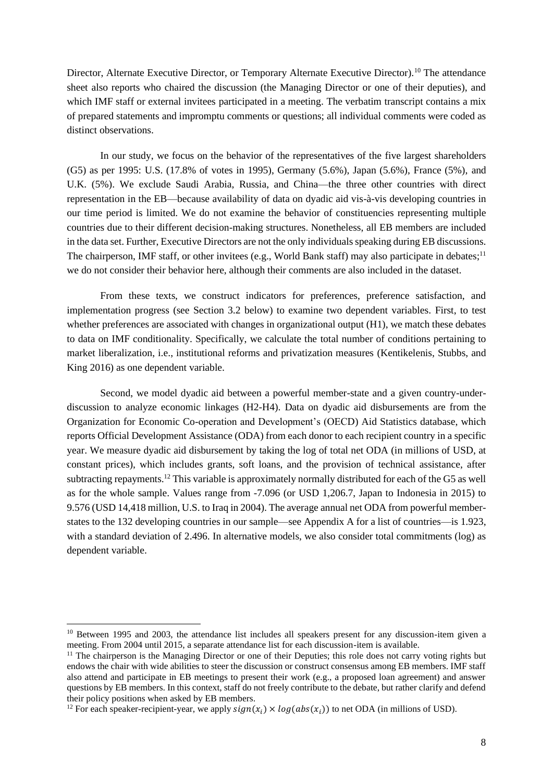Director, Alternate Executive Director, or Temporary Alternate Executive Director).<sup>10</sup> The attendance sheet also reports who chaired the discussion (the Managing Director or one of their deputies), and which IMF staff or external invitees participated in a meeting. The verbatim transcript contains a mix of prepared statements and impromptu comments or questions; all individual comments were coded as distinct observations.

In our study, we focus on the behavior of the representatives of the five largest shareholders (G5) as per 1995: U.S. (17.8% of votes in 1995), Germany (5.6%), Japan (5.6%), France (5%), and U.K. (5%). We exclude Saudi Arabia, Russia, and China—the three other countries with direct representation in the EB—because availability of data on dyadic aid vis-à-vis developing countries in our time period is limited. We do not examine the behavior of constituencies representing multiple countries due to their different decision-making structures. Nonetheless, all EB members are included in the data set. Further, Executive Directors are not the only individuals speaking during EB discussions. The chairperson, IMF staff, or other invitees (e.g., World Bank staff) may also participate in debates;<sup>11</sup> we do not consider their behavior here, although their comments are also included in the dataset.

From these texts, we construct indicators for preferences, preference satisfaction, and implementation progress (see Section 3.2 below) to examine two dependent variables. First, to test whether preferences are associated with changes in organizational output (H1), we match these debates to data on IMF conditionality. Specifically, we calculate the total number of conditions pertaining to market liberalization, i.e., institutional reforms and privatization measures (Kentikelenis, Stubbs, and King 2016) as one dependent variable.

Second, we model dyadic aid between a powerful member-state and a given country-underdiscussion to analyze economic linkages (H2-H4). Data on dyadic aid disbursements are from the Organization for Economic Co-operation and Development's (OECD) Aid Statistics database, which reports Official Development Assistance (ODA) from each donor to each recipient country in a specific year. We measure dyadic aid disbursement by taking the log of total net ODA (in millions of USD, at constant prices), which includes grants, soft loans, and the provision of technical assistance, after subtracting repayments.<sup>12</sup> This variable is approximately normally distributed for each of the G5 as well as for the whole sample. Values range from -7.096 (or USD 1,206.7, Japan to Indonesia in 2015) to 9.576 (USD 14,418 million, U.S. to Iraq in 2004). The average annual net ODA from powerful memberstates to the 132 developing countries in our sample—see Appendix A for a list of countries—is 1.923, with a standard deviation of 2.496. In alternative models, we also consider total commitments (log) as dependent variable.

<sup>&</sup>lt;sup>10</sup> Between 1995 and 2003, the attendance list includes all speakers present for any discussion-item given a meeting. From 2004 until 2015, a separate attendance list for each discussion-item is available.

 $11$  The chairperson is the Managing Director or one of their Deputies; this role does not carry voting rights but endows the chair with wide abilities to steer the discussion or construct consensus among EB members. IMF staff also attend and participate in EB meetings to present their work (e.g., a proposed loan agreement) and answer questions by EB members. In this context, staff do not freely contribute to the debate, but rather clarify and defend their policy positions when asked by EB members.

<sup>&</sup>lt;sup>12</sup> For each speaker-recipient-year, we apply  $sign(x_i) \times log(abs(x_i))$  to net ODA (in millions of USD).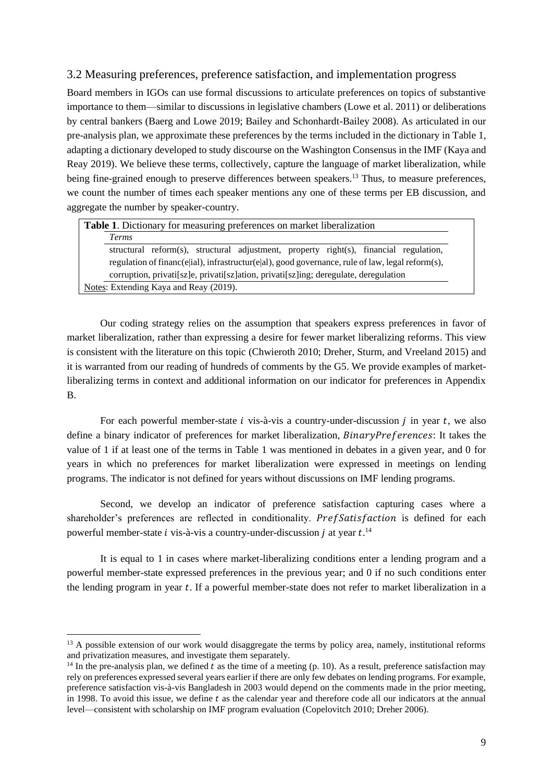### 3.2 Measuring preferences, preference satisfaction, and implementation progress

Board members in IGOs can use formal discussions to articulate preferences on topics of substantive importance to them—similar to discussions in legislative chambers (Lowe et al. 2011) or deliberations by central bankers (Baerg and Lowe 2019; Bailey and Schonhardt-Bailey 2008). As articulated in our pre-analysis plan, we approximate these preferences by the terms included in the dictionary in Table 1, adapting a dictionary developed to study discourse on the Washington Consensus in the IMF (Kaya and Reay 2019). We believe these terms, collectively, capture the language of market liberalization, while being fine-grained enough to preserve differences between speakers.<sup>13</sup> Thus, to measure preferences, we count the number of times each speaker mentions any one of these terms per EB discussion, and aggregate the number by speaker-country.

| <b>Table 1.</b> Dictionary for measuring preferences on market liberalization                    |  |  |  |  |  |  |  |
|--------------------------------------------------------------------------------------------------|--|--|--|--|--|--|--|
| <b>Terms</b>                                                                                     |  |  |  |  |  |  |  |
| structural reform(s), structural adjustment, property right(s), financial regulation,            |  |  |  |  |  |  |  |
| regulation of financ(e ial), infrastructur(e al), good governance, rule of law, legal reform(s), |  |  |  |  |  |  |  |
| corruption, privati[sz]e, privati[sz]ation, privati[sz]ing; deregulate, deregulation             |  |  |  |  |  |  |  |
| Notes: Extending Kaya and Reay (2019).                                                           |  |  |  |  |  |  |  |

Our coding strategy relies on the assumption that speakers express preferences in favor of market liberalization, rather than expressing a desire for fewer market liberalizing reforms. This view is consistent with the literature on this topic (Chwieroth 2010; Dreher, Sturm, and Vreeland 2015) and it is warranted from our reading of hundreds of comments by the G5. We provide examples of marketliberalizing terms in context and additional information on our indicator for preferences in Appendix B.

For each powerful member-state  $i$  vis-à-vis a country-under-discussion  $j$  in year  $t$ , we also define a binary indicator of preferences for market liberalization,  $BinaryPreferences$ : It takes the value of 1 if at least one of the terms in Table 1 was mentioned in debates in a given year, and 0 for years in which no preferences for market liberalization were expressed in meetings on lending programs. The indicator is not defined for years without discussions on IMF lending programs.

Second, we develop an indicator of preference satisfaction capturing cases where a shareholder's preferences are reflected in conditionality. PrefSatisfaction is defined for each powerful member-state *i* vis-à-vis a country-under-discussion *j* at year  $t$ .<sup>14</sup>

It is equal to 1 in cases where market-liberalizing conditions enter a lending program and a powerful member-state expressed preferences in the previous year; and 0 if no such conditions enter the lending program in year  $t$ . If a powerful member-state does not refer to market liberalization in a

<sup>&</sup>lt;sup>13</sup> A possible extension of our work would disaggregate the terms by policy area, namely, institutional reforms and privatization measures, and investigate them separately.

<sup>&</sup>lt;sup>14</sup> In the pre-analysis plan, we defined t as the time of a meeting (p. 10). As a result, preference satisfaction may rely on preferences expressed several years earlier if there are only few debates on lending programs. For example, preference satisfaction vis-à-vis Bangladesh in 2003 would depend on the comments made in the prior meeting, in 1998. To avoid this issue, we define t as the calendar year and therefore code all our indicators at the annual level—consistent with scholarship on IMF program evaluation (Copelovitch 2010; Dreher 2006).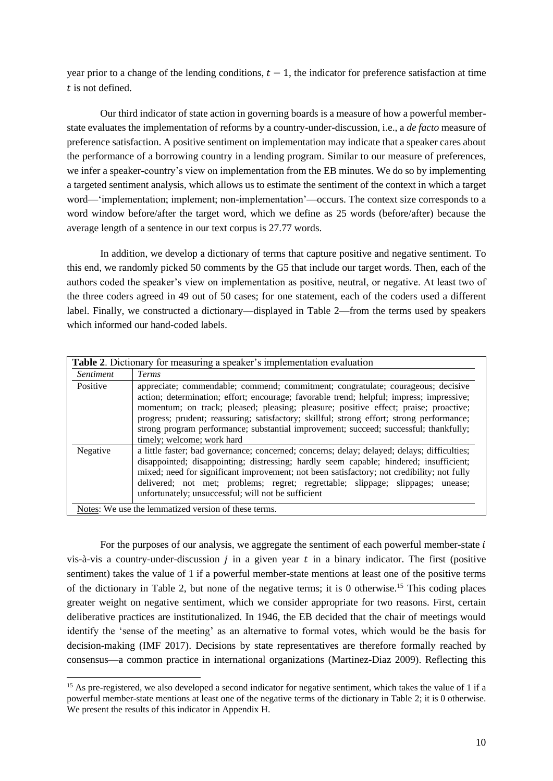year prior to a change of the lending conditions,  $t - 1$ , the indicator for preference satisfaction at time  $t$  is not defined.

Our third indicator of state action in governing boards is a measure of how a powerful memberstate evaluates the implementation of reforms by a country-under-discussion, i.e., a *de facto* measure of preference satisfaction. A positive sentiment on implementation may indicate that a speaker cares about the performance of a borrowing country in a lending program. Similar to our measure of preferences, we infer a speaker-country's view on implementation from the EB minutes. We do so by implementing a targeted sentiment analysis, which allows us to estimate the sentiment of the context in which a target word—'implementation; implement; non-implementation'—occurs. The context size corresponds to a word window before/after the target word, which we define as 25 words (before/after) because the average length of a sentence in our text corpus is 27.77 words.

In addition, we develop a dictionary of terms that capture positive and negative sentiment. To this end, we randomly picked 50 comments by the G5 that include our target words. Then, each of the authors coded the speaker's view on implementation as positive, neutral, or negative. At least two of the three coders agreed in 49 out of 50 cases; for one statement, each of the coders used a different label. Finally, we constructed a dictionary—displayed in Table 2—from the terms used by speakers which informed our hand-coded labels.

|                  | Table 2. Dictionary for measuring a speaker's implementation evaluation                                                                                                                                                                                                                                                                                                                                                                                                                  |
|------------------|------------------------------------------------------------------------------------------------------------------------------------------------------------------------------------------------------------------------------------------------------------------------------------------------------------------------------------------------------------------------------------------------------------------------------------------------------------------------------------------|
| <i>Sentiment</i> | <b>Terms</b>                                                                                                                                                                                                                                                                                                                                                                                                                                                                             |
| Positive         | appreciate; commendable; commend; commitment; congratulate; courageous; decisive<br>action; determination; effort; encourage; favorable trend; helpful; impress; impressive;<br>momentum; on track; pleased; pleasing; pleasure; positive effect; praise; proactive;<br>progress; prudent; reassuring; satisfactory; skillful; strong effort; strong performance;<br>strong program performance; substantial improvement; succeed; successful; thankfully;<br>timely; welcome; work hard |
| Negative         | a little faster; bad governance; concerned; concerns; delay; delayed; delays; difficulties;<br>disappointed; disappointing; distressing; hardly seem capable; hindered; insufficient;<br>mixed; need for significant improvement; not been satisfactory; not credibility; not fully<br>delivered; not met; problems; regret; regrettable; slippage; slippages;<br>unease:<br>unfortunately; unsuccessful; will not be sufficient                                                         |
|                  | Notes: We use the lemmatized version of these terms.                                                                                                                                                                                                                                                                                                                                                                                                                                     |

For the purposes of our analysis, we aggregate the sentiment of each powerful member-state  $i$ vis-à-vis a country-under-discussion  $j$  in a given year  $t$  in a binary indicator. The first (positive sentiment) takes the value of 1 if a powerful member-state mentions at least one of the positive terms of the dictionary in Table 2, but none of the negative terms; it is 0 otherwise.<sup>15</sup> This coding places greater weight on negative sentiment, which we consider appropriate for two reasons. First, certain deliberative practices are institutionalized. In 1946, the EB decided that the chair of meetings would identify the 'sense of the meeting' as an alternative to formal votes, which would be the basis for decision-making (IMF 2017). Decisions by state representatives are therefore formally reached by consensus—a common practice in international organizations (Martinez-Diaz 2009). Reflecting this

<sup>&</sup>lt;sup>15</sup> As pre-registered, we also developed a second indicator for negative sentiment, which takes the value of 1 if a powerful member-state mentions at least one of the negative terms of the dictionary in Table 2; it is 0 otherwise. We present the results of this indicator in Appendix H.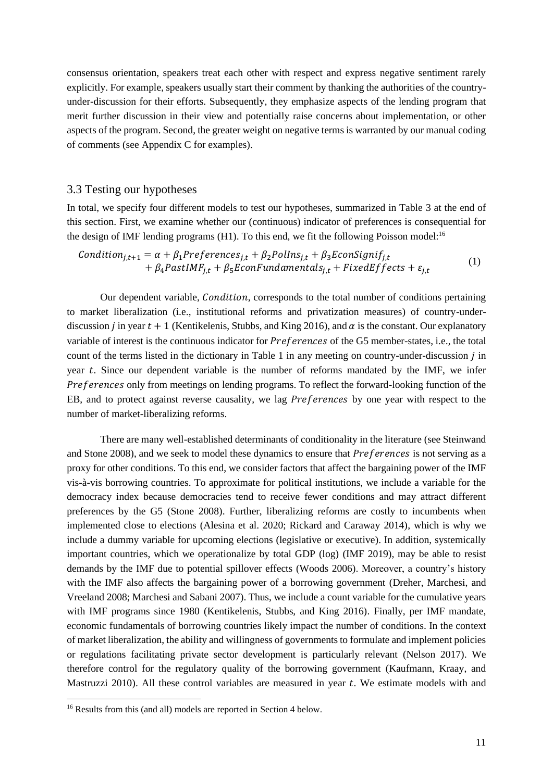consensus orientation, speakers treat each other with respect and express negative sentiment rarely explicitly. For example, speakers usually start their comment by thanking the authorities of the countryunder-discussion for their efforts. Subsequently, they emphasize aspects of the lending program that merit further discussion in their view and potentially raise concerns about implementation, or other aspects of the program. Second, the greater weight on negative terms is warranted by our manual coding of comments (see Appendix C for examples).

#### 3.3 Testing our hypotheses

In total, we specify four different models to test our hypotheses, summarized in Table 3 at the end of this section. First, we examine whether our (continuous) indicator of preferences is consequential for the design of IMF lending programs  $(H1)$ . To this end, we fit the following Poisson model:<sup>16</sup>

$$
Condition_{j,t+1} = \alpha + \beta_1 Preferences_{j,t} + \beta_2 Pollns_{j,t} + \beta_3 EconSignif_{j,t}
$$
  
+  $\beta_4 PastIMF_{j,t} + \beta_5 EconFundamentals_{j,t} + FixedEffects + \varepsilon_{j,t}$  (1)

Our dependent variable, *Condition*, corresponds to the total number of conditions pertaining to market liberalization (i.e., institutional reforms and privatization measures) of country-underdiscussion *i* in year  $t + 1$  (Kentikelenis, Stubbs, and King 2016), and  $\alpha$  is the constant. Our explanatory variable of interest is the continuous indicator for  $Preferences$  of the G5 member-states, i.e., the total count of the terms listed in the dictionary in Table 1 in any meeting on country-under-discussion *j* in year  $t$ . Since our dependent variable is the number of reforms mandated by the IMF, we infer Preferences only from meetings on lending programs. To reflect the forward-looking function of the EB, and to protect against reverse causality, we lag *Preferences* by one year with respect to the number of market-liberalizing reforms.

There are many well-established determinants of conditionality in the literature (see Steinwand and Stone 2008), and we seek to model these dynamics to ensure that *Preferences* is not serving as a proxy for other conditions. To this end, we consider factors that affect the bargaining power of the IMF vis-à-vis borrowing countries. To approximate for political institutions, we include a variable for the democracy index because democracies tend to receive fewer conditions and may attract different preferences by the G5 (Stone 2008). Further, liberalizing reforms are costly to incumbents when implemented close to elections (Alesina et al. 2020; Rickard and Caraway 2014), which is why we include a dummy variable for upcoming elections (legislative or executive). In addition, systemically important countries, which we operationalize by total GDP (log) (IMF 2019), may be able to resist demands by the IMF due to potential spillover effects (Woods 2006). Moreover, a country's history with the IMF also affects the bargaining power of a borrowing government (Dreher, Marchesi, and Vreeland 2008; Marchesi and Sabani 2007). Thus, we include a count variable for the cumulative years with IMF programs since 1980 (Kentikelenis, Stubbs, and King 2016). Finally, per IMF mandate, economic fundamentals of borrowing countries likely impact the number of conditions. In the context of market liberalization, the ability and willingness of governments to formulate and implement policies or regulations facilitating private sector development is particularly relevant (Nelson 2017). We therefore control for the regulatory quality of the borrowing government (Kaufmann, Kraay, and Mastruzzi 2010). All these control variables are measured in year  $t$ . We estimate models with and

<sup>&</sup>lt;sup>16</sup> Results from this (and all) models are reported in Section 4 below.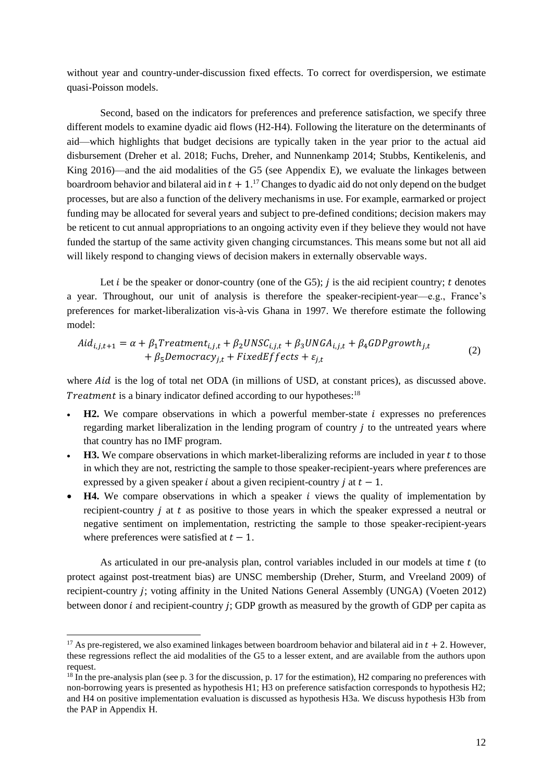without year and country-under-discussion fixed effects. To correct for overdispersion, we estimate quasi-Poisson models.

Second, based on the indicators for preferences and preference satisfaction, we specify three different models to examine dyadic aid flows (H2-H4). Following the literature on the determinants of aid—which highlights that budget decisions are typically taken in the year prior to the actual aid disbursement (Dreher et al. 2018; Fuchs, Dreher, and Nunnenkamp 2014; Stubbs, Kentikelenis, and King 2016)—and the aid modalities of the G5 (see Appendix E), we evaluate the linkages between boardroom behavior and bilateral aid in  $t + 1$ .<sup>17</sup> Changes to dyadic aid do not only depend on the budget processes, but are also a function of the delivery mechanisms in use. For example, earmarked or project funding may be allocated for several years and subject to pre-defined conditions; decision makers may be reticent to cut annual appropriations to an ongoing activity even if they believe they would not have funded the startup of the same activity given changing circumstances. This means some but not all aid will likely respond to changing views of decision makers in externally observable ways.

Let *i* be the speaker or donor-country (one of the G5); *j* is the aid recipient country; *t* denotes a year. Throughout, our unit of analysis is therefore the speaker-recipient-year—e.g., France's preferences for market-liberalization vis-à-vis Ghana in 1997. We therefore estimate the following model:

$$
Aid_{i,j,t+1} = \alpha + \beta_1 Treatment_{i,j,t} + \beta_2UNSC_{i,j,t} + \beta_3 UNGA_{i,j,t} + \beta_4 GDPgrowth_{j,t} + \beta_5 Democracy_{j,t} + FixedEffects + \varepsilon_{j,t}
$$
\n(2)

where  $\text{A}id$  is the log of total net ODA (in millions of USD, at constant prices), as discussed above. Treatment is a binary indicator defined according to our hypotheses: $18$ 

- $$ regarding market liberalization in the lending program of country  $j$  to the untreated years where that country has no IMF program.
- **H3.** We compare observations in which market-liberalizing reforms are included in year t to those in which they are not, restricting the sample to those speaker-recipient-years where preferences are expressed by a given speaker *i* about a given recipient-country *j* at  $t - 1$ .
- **H4.** We compare observations in which a speaker *i* views the quality of implementation by recipient-country  $\dot{\textbf{j}}$  at  $\textbf{t}$  as positive to those years in which the speaker expressed a neutral or negative sentiment on implementation, restricting the sample to those speaker-recipient-years where preferences were satisfied at  $t - 1$ .

As articulated in our pre-analysis plan, control variables included in our models at time  $t$  (to protect against post-treatment bias) are UNSC membership (Dreher, Sturm, and Vreeland 2009) of recipient-country ; voting affinity in the United Nations General Assembly (UNGA) (Voeten 2012) between donor  $i$  and recipient-country  $j$ ; GDP growth as measured by the growth of GDP per capita as

<sup>&</sup>lt;sup>17</sup> As pre-registered, we also examined linkages between boardroom behavior and bilateral aid in  $t + 2$ . However, these regressions reflect the aid modalities of the G5 to a lesser extent, and are available from the authors upon request.

 $18 \text{ In the pre-analysis plan (see p. 3 for the discussion, p. 17 for the estimation), H2 comparing no preferences with}$ non-borrowing years is presented as hypothesis H1; H3 on preference satisfaction corresponds to hypothesis H2; and H4 on positive implementation evaluation is discussed as hypothesis H3a. We discuss hypothesis H3b from the PAP in Appendix H.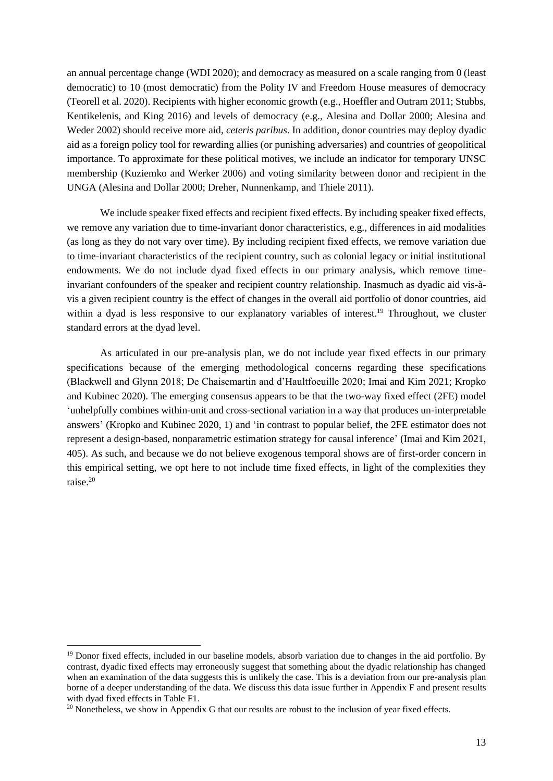an annual percentage change (WDI 2020); and democracy as measured on a scale ranging from 0 (least democratic) to 10 (most democratic) from the Polity IV and Freedom House measures of democracy (Teorell et al. 2020). Recipients with higher economic growth (e.g., Hoeffler and Outram 2011; Stubbs, Kentikelenis, and King 2016) and levels of democracy (e.g., Alesina and Dollar 2000; Alesina and Weder 2002) should receive more aid, *ceteris paribus*. In addition, donor countries may deploy dyadic aid as a foreign policy tool for rewarding allies (or punishing adversaries) and countries of geopolitical importance. To approximate for these political motives, we include an indicator for temporary UNSC membership (Kuziemko and Werker 2006) and voting similarity between donor and recipient in the UNGA (Alesina and Dollar 2000; Dreher, Nunnenkamp, and Thiele 2011).

We include speaker fixed effects and recipient fixed effects. By including speaker fixed effects, we remove any variation due to time-invariant donor characteristics, e.g., differences in aid modalities (as long as they do not vary over time). By including recipient fixed effects, we remove variation due to time-invariant characteristics of the recipient country, such as colonial legacy or initial institutional endowments. We do not include dyad fixed effects in our primary analysis, which remove timeinvariant confounders of the speaker and recipient country relationship. Inasmuch as dyadic aid vis-àvis a given recipient country is the effect of changes in the overall aid portfolio of donor countries, aid within a dyad is less responsive to our explanatory variables of interest.<sup>19</sup> Throughout, we cluster standard errors at the dyad level.

As articulated in our pre-analysis plan, we do not include year fixed effects in our primary specifications because of the emerging methodological concerns regarding these specifications (Blackwell and Glynn 2018; De Chaisemartin and d'Haultfoeuille 2020; Imai and Kim 2021; Kropko and Kubinec 2020). The emerging consensus appears to be that the two-way fixed effect (2FE) model 'unhelpfully combines within-unit and cross-sectional variation in a way that produces un-interpretable answers' (Kropko and Kubinec 2020, 1) and 'in contrast to popular belief, the 2FE estimator does not represent a design-based, nonparametric estimation strategy for causal inference' (Imai and Kim 2021, 405). As such, and because we do not believe exogenous temporal shows are of first-order concern in this empirical setting, we opt here to not include time fixed effects, in light of the complexities they raise.<sup>20</sup>

<sup>&</sup>lt;sup>19</sup> Donor fixed effects, included in our baseline models, absorb variation due to changes in the aid portfolio. By contrast, dyadic fixed effects may erroneously suggest that something about the dyadic relationship has changed when an examination of the data suggests this is unlikely the case. This is a deviation from our pre-analysis plan borne of a deeper understanding of the data. We discuss this data issue further in Appendix F and present results with dyad fixed effects in Table F1.

 $20$  Nonetheless, we show in Appendix G that our results are robust to the inclusion of year fixed effects.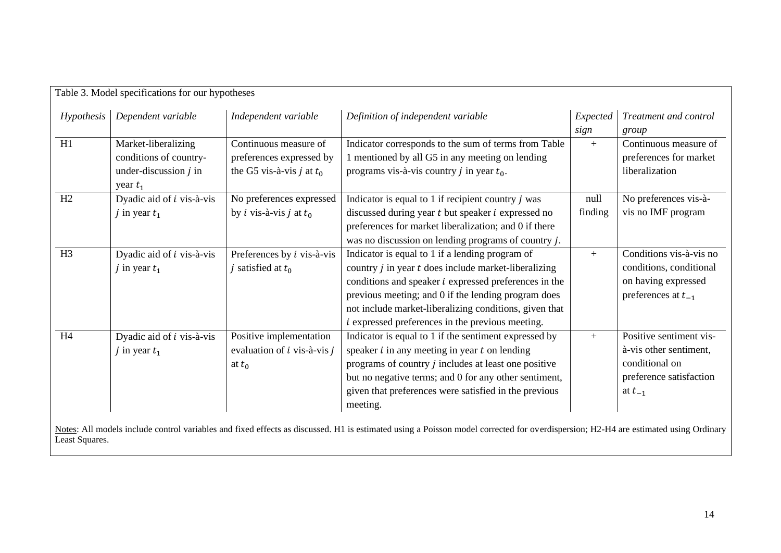| Dependent variable<br>Hypothesis | Independent variable                    | Definition of independent variable                           | Expected | Treatment and control   |
|----------------------------------|-----------------------------------------|--------------------------------------------------------------|----------|-------------------------|
|                                  |                                         |                                                              | sign     | group                   |
| Market-liberalizing              | Continuous measure of                   | Indicator corresponds to the sum of terms from Table         | $+$      | Continuous measure of   |
| conditions of country-           | preferences expressed by                | 1 mentioned by all G5 in any meeting on lending              |          | preferences for market  |
| under-discussion $j$ in          | the G5 vis-à-vis <i>j</i> at $t_0$      | programs vis-à-vis country <i>j</i> in year $t_0$ .          |          | liberalization          |
| year $t_1$                       |                                         |                                                              |          |                         |
| Dyadic aid of <i>i</i> vis-à-vis | No preferences expressed                | Indicator is equal to 1 if recipient country $j$ was         | null     | No preferences vis-à-   |
| j in year $t_1$                  | by <i>i</i> vis-à-vis <i>j</i> at $t_0$ | discussed during year $t$ but speaker $i$ expressed no       | finding  | vis no IMF program      |
|                                  |                                         | preferences for market liberalization; and 0 if there        |          |                         |
|                                  |                                         | was no discussion on lending programs of country $j$ .       |          |                         |
| Dyadic aid of <i>i</i> vis-à-vis | Preferences by $i$ vis-à-vis            | Indicator is equal to 1 if a lending program of              | $+$      | Conditions vis-à-vis no |
| j in year $t_1$                  | j satisfied at $t_0$                    | country $j$ in year $t$ does include market-liberalizing     |          | conditions, conditional |
|                                  |                                         | conditions and speaker <i>i</i> expressed preferences in the |          | on having expressed     |
|                                  |                                         | previous meeting; and 0 if the lending program does          |          | preferences at $t_{-1}$ |
|                                  |                                         | not include market-liberalizing conditions, given that       |          |                         |
|                                  |                                         | <i>i</i> expressed preferences in the previous meeting.      |          |                         |
| Dyadic aid of <i>i</i> vis-à-vis | Positive implementation                 | Indicator is equal to 1 if the sentiment expressed by        | $+$      | Positive sentiment vis- |
| j in year $t_1$                  | evaluation of $i$ vis-à-vis $j$         | speaker $i$ in any meeting in year $t$ on lending            |          | à-vis other sentiment,  |
|                                  | at $t_0$                                | programs of country $j$ includes at least one positive       |          | conditional on          |
|                                  |                                         | but no negative terms; and 0 for any other sentiment,        |          | preference satisfaction |
|                                  |                                         | given that preferences were satisfied in the previous        |          | at $t_{-1}$             |
|                                  |                                         | meeting.                                                     |          |                         |
|                                  |                                         | Table 3. Model specifications for our hypotheses             |          |                         |

Notes: All models include control variables and fixed effects as discussed. H1 is estimated using a Poisson model corrected for overdispersion; H2-H4 are estimated using Ordinary Least Squares.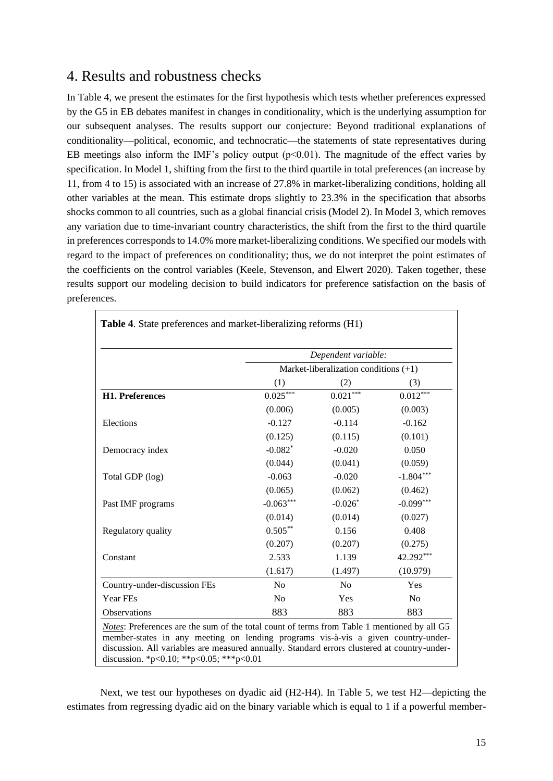### 4. Results and robustness checks

In Table 4, we present the estimates for the first hypothesis which tests whether preferences expressed by the G5 in EB debates manifest in changes in conditionality, which is the underlying assumption for our subsequent analyses. The results support our conjecture: Beyond traditional explanations of conditionality—political, economic, and technocratic—the statements of state representatives during EB meetings also inform the IMF's policy output  $(p<0.01)$ . The magnitude of the effect varies by specification. In Model 1, shifting from the first to the third quartile in total preferences (an increase by 11, from 4 to 15) is associated with an increase of 27.8% in market-liberalizing conditions, holding all other variables at the mean. This estimate drops slightly to 23.3% in the specification that absorbs shocks common to all countries, such as a global financial crisis (Model 2). In Model 3, which removes any variation due to time-invariant country characteristics, the shift from the first to the third quartile in preferences corresponds to 14.0% more market-liberalizing conditions. We specified our models with regard to the impact of preferences on conditionality; thus, we do not interpret the point estimates of the coefficients on the control variables (Keele, Stevenson, and Elwert 2020). Taken together, these results support our modeling decision to build indicators for preference satisfaction on the basis of preferences.

|                              |                | Dependent variable:                     |             |
|------------------------------|----------------|-----------------------------------------|-------------|
|                              |                | Market-liberalization conditions $(+1)$ |             |
|                              | (1)            | (2)                                     | (3)         |
| H1. Preferences              | $0.025***$     | $0.021***$                              | $0.012***$  |
|                              | (0.006)        | (0.005)                                 | (0.003)     |
| Elections                    | $-0.127$       | $-0.114$                                | $-0.162$    |
|                              | (0.125)        | (0.115)                                 | (0.101)     |
| Democracy index              | $-0.082$ *     | $-0.020$                                | 0.050       |
|                              | (0.044)        | (0.041)                                 | (0.059)     |
| Total GDP (log)              | $-0.063$       | $-0.020$                                | $-1.804***$ |
|                              | (0.065)        | (0.062)                                 | (0.462)     |
| Past IMF programs            | $-0.063***$    | $-0.026*$                               | $-0.099***$ |
|                              | (0.014)        | (0.014)                                 | (0.027)     |
| Regulatory quality           | $0.505***$     | 0.156                                   | 0.408       |
|                              | (0.207)        | (0.207)                                 | (0.275)     |
| Constant                     | 2.533          | 1.139                                   | 42.292***   |
|                              | (1.617)        | (1.497)                                 | (10.979)    |
| Country-under-discussion FEs | N <sub>0</sub> | N <sub>o</sub>                          | Yes         |
| Year FEs                     | N <sub>o</sub> | Yes                                     | No          |
| Observations                 | 883            | 883                                     | 883         |

Next, we test our hypotheses on dyadic aid (H2-H4). In Table 5, we test H2—depicting the estimates from regressing dyadic aid on the binary variable which is equal to 1 if a powerful member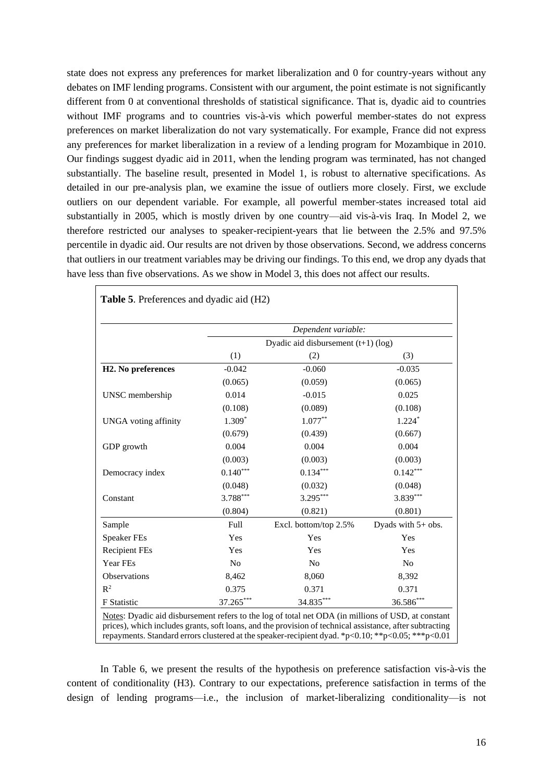state does not express any preferences for market liberalization and 0 for country-years without any debates on IMF lending programs. Consistent with our argument, the point estimate is not significantly different from 0 at conventional thresholds of statistical significance. That is, dyadic aid to countries without IMF programs and to countries vis-à-vis which powerful member-states do not express preferences on market liberalization do not vary systematically. For example, France did not express any preferences for market liberalization in a review of a lending program for Mozambique in 2010. Our findings suggest dyadic aid in 2011, when the lending program was terminated, has not changed substantially. The baseline result, presented in Model 1, is robust to alternative specifications. As detailed in our pre-analysis plan, we examine the issue of outliers more closely. First, we exclude outliers on our dependent variable. For example, all powerful member-states increased total aid substantially in 2005, which is mostly driven by one country—aid vis-à-vis Iraq. In Model 2, we therefore restricted our analyses to speaker-recipient-years that lie between the 2.5% and 97.5% percentile in dyadic aid. Our results are not driven by those observations. Second, we address concerns that outliers in our treatment variables may be driving our findings. To this end, we drop any dyads that have less than five observations. As we show in Model 3, this does not affect our results.

|                                 |                                       | Dependent variable:   |                      |  |  |  |  |
|---------------------------------|---------------------------------------|-----------------------|----------------------|--|--|--|--|
|                                 | Dyadic aid disbursement $(t+1)$ (log) |                       |                      |  |  |  |  |
|                                 | (1)                                   | (2)                   | (3)                  |  |  |  |  |
| H <sub>2</sub> . No preferences | $-0.042$                              | $-0.060$              | $-0.035$             |  |  |  |  |
|                                 | (0.065)                               | (0.059)               | (0.065)              |  |  |  |  |
| UNSC membership                 | 0.014                                 | $-0.015$              | 0.025                |  |  |  |  |
|                                 | (0.108)                               | (0.089)               | (0.108)              |  |  |  |  |
| <b>UNGA</b> voting affinity     | $1.309*$                              | $1.077**$             | $1.224*$             |  |  |  |  |
|                                 | (0.679)                               | (0.439)               | (0.667)              |  |  |  |  |
| GDP growth                      | 0.004                                 | 0.004                 | 0.004                |  |  |  |  |
|                                 | (0.003)                               | (0.003)               | (0.003)              |  |  |  |  |
| Democracy index                 | $0.140***$                            | $0.134***$            | $0.142***$           |  |  |  |  |
|                                 | (0.048)                               | (0.032)               | (0.048)              |  |  |  |  |
| Constant                        | 3.788***                              | $3.295***$            | 3.839***             |  |  |  |  |
|                                 | (0.804)                               | (0.821)               | (0.801)              |  |  |  |  |
| Sample                          | Full                                  | Excl. bottom/top 2.5% | Dyads with $5+$ obs. |  |  |  |  |
| <b>Speaker FEs</b>              | Yes                                   | Yes                   | Yes                  |  |  |  |  |
| <b>Recipient FEs</b>            | Yes                                   | Yes                   | Yes                  |  |  |  |  |
| Year FEs                        | N <sub>o</sub>                        | No                    | No                   |  |  |  |  |
| Observations                    | 8,462                                 | 8,060                 | 8,392                |  |  |  |  |
| R <sup>2</sup>                  | 0.375                                 | 0.371                 | 0.371                |  |  |  |  |
| <b>F</b> Statistic              | 37.265***                             | 34.835***             | 36.586***            |  |  |  |  |

In Table 6, we present the results of the hypothesis on preference satisfaction vis-à-vis the content of conditionality (H3). Contrary to our expectations, preference satisfaction in terms of the design of lending programs—i.e., the inclusion of market-liberalizing conditionality—is not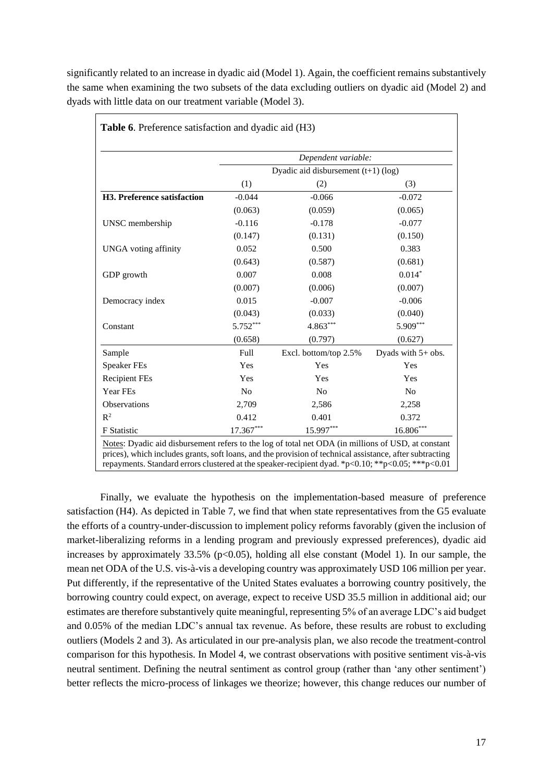significantly related to an increase in dyadic aid (Model 1). Again, the coefficient remains substantively the same when examining the two subsets of the data excluding outliers on dyadic aid (Model 2) and dyads with little data on our treatment variable (Model 3).

|                             |                | Dependent variable:                   |                      |
|-----------------------------|----------------|---------------------------------------|----------------------|
|                             |                | Dyadic aid disbursement $(t+1)$ (log) |                      |
|                             | (1)            | (2)                                   | (3)                  |
| H3. Preference satisfaction | $-0.044$       | $-0.066$                              | $-0.072$             |
|                             | (0.063)        | (0.059)                               | (0.065)              |
| UNSC membership             | $-0.116$       | $-0.178$                              | $-0.077$             |
|                             | (0.147)        | (0.131)                               | (0.150)              |
| <b>UNGA</b> voting affinity | 0.052          | 0.500                                 | 0.383                |
|                             | (0.643)        | (0.587)                               | (0.681)              |
| GDP growth                  | 0.007          | 0.008                                 | $0.014*$             |
|                             | (0.007)        | (0.006)                               | (0.007)              |
| Democracy index             | 0.015          | $-0.007$                              | $-0.006$             |
|                             | (0.043)        | (0.033)                               | (0.040)              |
| Constant                    | 5.752***       | 4.863***                              | 5.909***             |
|                             | (0.658)        | (0.797)                               | (0.627)              |
| Sample                      | Full           | Excl. bottom/top 2.5%                 | Dyads with $5+$ obs. |
| <b>Speaker FEs</b>          | Yes            | Yes                                   | Yes                  |
| <b>Recipient FEs</b>        | Yes            | Yes                                   | Yes                  |
| Year FEs                    | N <sub>o</sub> | No                                    | N <sub>0</sub>       |
| <b>Observations</b>         | 2,709          | 2,586                                 | 2,258                |
| $R^2$                       | 0.412          | 0.401                                 | 0.372                |
| F Statistic                 | 17.367***      | 15.997***                             | 16.806***            |

Finally, we evaluate the hypothesis on the implementation-based measure of preference satisfaction (H4). As depicted in Table 7, we find that when state representatives from the G5 evaluate the efforts of a country-under-discussion to implement policy reforms favorably (given the inclusion of market-liberalizing reforms in a lending program and previously expressed preferences), dyadic aid increases by approximately  $33.5\%$  (p<0.05), holding all else constant (Model 1). In our sample, the mean net ODA of the U.S. vis-à-vis a developing country was approximately USD 106 million per year. Put differently, if the representative of the United States evaluates a borrowing country positively, the borrowing country could expect, on average, expect to receive USD 35.5 million in additional aid; our estimates are therefore substantively quite meaningful, representing 5% of an average LDC's aid budget and 0.05% of the median LDC's annual tax revenue. As before, these results are robust to excluding outliers (Models 2 and 3). As articulated in our pre-analysis plan, we also recode the treatment-control comparison for this hypothesis. In Model 4, we contrast observations with positive sentiment vis-à-vis neutral sentiment. Defining the neutral sentiment as control group (rather than 'any other sentiment') better reflects the micro-process of linkages we theorize; however, this change reduces our number of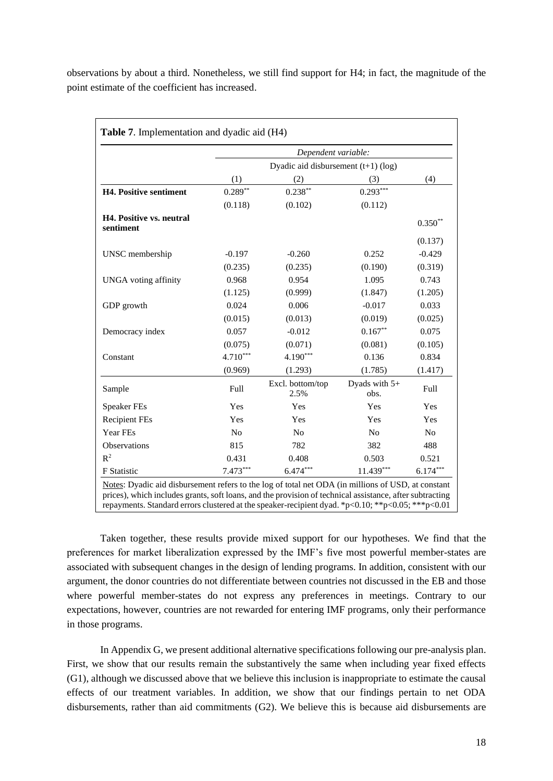observations by about a third. Nonetheless, we still find support for H4; in fact, the magnitude of the point estimate of the coefficient has increased.

|                                              |                | Dependent variable:                   |                       |                |
|----------------------------------------------|----------------|---------------------------------------|-----------------------|----------------|
|                                              |                | Dyadic aid disbursement $(t+1)$ (log) |                       |                |
|                                              | (1)            | (2)                                   | (3)                   | (4)            |
| <b>H4. Positive sentiment</b>                | $0.289**$      | $0.238***$                            | $0.293***$            |                |
|                                              | (0.118)        | (0.102)                               | (0.112)               |                |
| <b>H4. Positive vs. neutral</b><br>sentiment |                |                                       |                       | $0.350**$      |
|                                              |                |                                       |                       | (0.137)        |
| UNSC membership                              | $-0.197$       | $-0.260$                              | 0.252                 | $-0.429$       |
|                                              | (0.235)        | (0.235)                               | (0.190)               | (0.319)        |
| <b>UNGA</b> voting affinity                  | 0.968          | 0.954                                 | 1.095                 | 0.743          |
|                                              | (1.125)        | (0.999)                               | (1.847)               | (1.205)        |
| GDP growth                                   | 0.024          | 0.006                                 | $-0.017$              | 0.033          |
|                                              | (0.015)        | (0.013)                               | (0.019)               | (0.025)        |
| Democracy index                              | 0.057          | $-0.012$                              | $0.167**$             | 0.075          |
|                                              | (0.075)        | (0.071)                               | (0.081)               | (0.105)        |
| Constant                                     | $4.710***$     | 4.190***                              | 0.136                 | 0.834          |
|                                              | (0.969)        | (1.293)                               | (1.785)               | (1.417)        |
| Sample                                       | Full           | Excl. bottom/top<br>2.5%              | Dyads with 5+<br>obs. | Full           |
| <b>Speaker FEs</b>                           | Yes            | Yes                                   | Yes                   | Yes            |
| <b>Recipient FEs</b>                         | Yes            | Yes                                   | Yes                   | Yes            |
| Year FEs                                     | N <sub>o</sub> | N <sub>0</sub>                        | N <sub>o</sub>        | N <sub>0</sub> |
| <b>Observations</b>                          | 815            | 782                                   | 382                   | 488            |
| $R^2$                                        | 0.431          | 0.408                                 | 0.503                 | 0.521          |
| <b>F</b> Statistic                           | $7.473***$     | $6.474***$                            | $11.439***$           | $6.174***$     |

Taken together, these results provide mixed support for our hypotheses. We find that the preferences for market liberalization expressed by the IMF's five most powerful member-states are associated with subsequent changes in the design of lending programs. In addition, consistent with our argument, the donor countries do not differentiate between countries not discussed in the EB and those where powerful member-states do not express any preferences in meetings. Contrary to our expectations, however, countries are not rewarded for entering IMF programs, only their performance in those programs.

In Appendix G, we present additional alternative specifications following our pre-analysis plan. First, we show that our results remain the substantively the same when including year fixed effects (G1), although we discussed above that we believe this inclusion is inappropriate to estimate the causal effects of our treatment variables. In addition, we show that our findings pertain to net ODA disbursements, rather than aid commitments (G2). We believe this is because aid disbursements are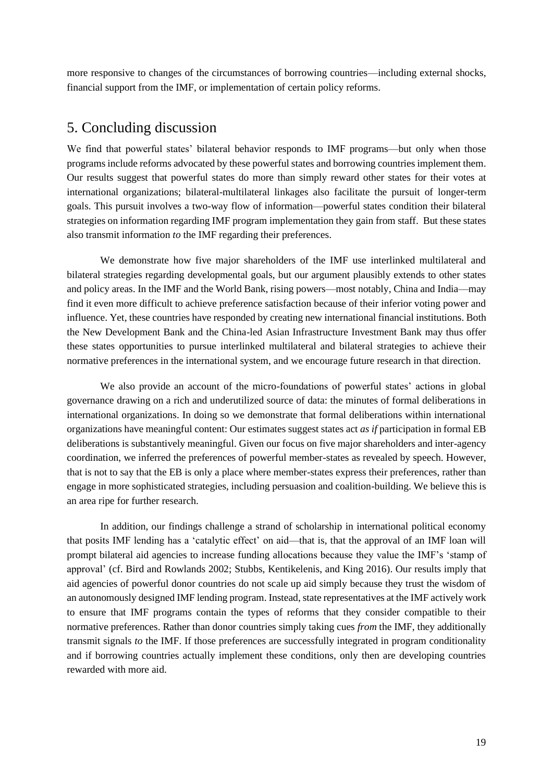more responsive to changes of the circumstances of borrowing countries—including external shocks, financial support from the IMF, or implementation of certain policy reforms.

### 5. Concluding discussion

We find that powerful states' bilateral behavior responds to IMF programs—but only when those programs include reforms advocated by these powerful states and borrowing countries implement them. Our results suggest that powerful states do more than simply reward other states for their votes at international organizations; bilateral-multilateral linkages also facilitate the pursuit of longer-term goals. This pursuit involves a two-way flow of information—powerful states condition their bilateral strategies on information regarding IMF program implementation they gain from staff. But these states also transmit information *to* the IMF regarding their preferences.

We demonstrate how five major shareholders of the IMF use interlinked multilateral and bilateral strategies regarding developmental goals, but our argument plausibly extends to other states and policy areas. In the IMF and the World Bank, rising powers—most notably, China and India—may find it even more difficult to achieve preference satisfaction because of their inferior voting power and influence. Yet, these countries have responded by creating new international financial institutions. Both the New Development Bank and the China-led Asian Infrastructure Investment Bank may thus offer these states opportunities to pursue interlinked multilateral and bilateral strategies to achieve their normative preferences in the international system, and we encourage future research in that direction.

We also provide an account of the micro-foundations of powerful states' actions in global governance drawing on a rich and underutilized source of data: the minutes of formal deliberations in international organizations. In doing so we demonstrate that formal deliberations within international organizations have meaningful content: Our estimates suggest states act *as if* participation in formal EB deliberations is substantively meaningful. Given our focus on five major shareholders and inter-agency coordination, we inferred the preferences of powerful member-states as revealed by speech. However, that is not to say that the EB is only a place where member-states express their preferences, rather than engage in more sophisticated strategies, including persuasion and coalition-building. We believe this is an area ripe for further research.

In addition, our findings challenge a strand of scholarship in international political economy that posits IMF lending has a 'catalytic effect' on aid—that is, that the approval of an IMF loan will prompt bilateral aid agencies to increase funding allocations because they value the IMF's 'stamp of approval' (cf. Bird and Rowlands 2002; Stubbs, Kentikelenis, and King 2016). Our results imply that aid agencies of powerful donor countries do not scale up aid simply because they trust the wisdom of an autonomously designed IMF lending program. Instead, state representatives at the IMF actively work to ensure that IMF programs contain the types of reforms that they consider compatible to their normative preferences. Rather than donor countries simply taking cues *from* the IMF, they additionally transmit signals *to* the IMF. If those preferences are successfully integrated in program conditionality and if borrowing countries actually implement these conditions, only then are developing countries rewarded with more aid.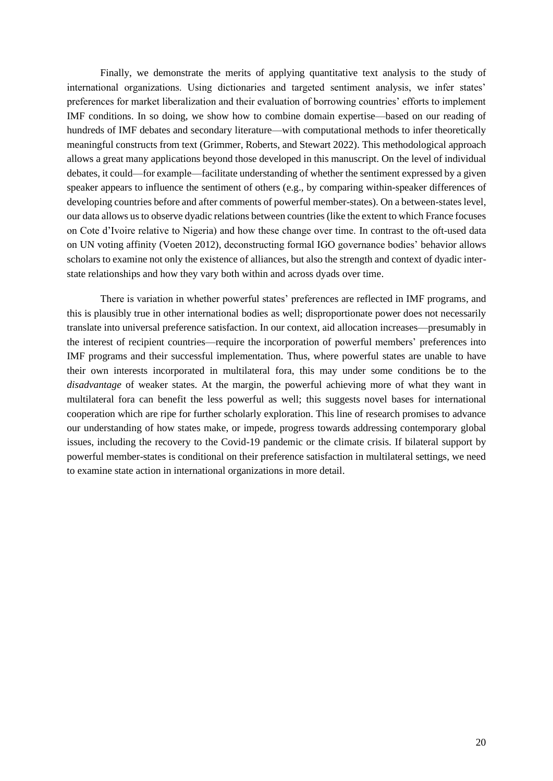Finally, we demonstrate the merits of applying quantitative text analysis to the study of international organizations. Using dictionaries and targeted sentiment analysis, we infer states' preferences for market liberalization and their evaluation of borrowing countries' efforts to implement IMF conditions. In so doing, we show how to combine domain expertise—based on our reading of hundreds of IMF debates and secondary literature—with computational methods to infer theoretically meaningful constructs from text (Grimmer, Roberts, and Stewart 2022). This methodological approach allows a great many applications beyond those developed in this manuscript. On the level of individual debates, it could—for example—facilitate understanding of whether the sentiment expressed by a given speaker appears to influence the sentiment of others (e.g., by comparing within-speaker differences of developing countries before and after comments of powerful member-states). On a between-states level, our data allows us to observe dyadic relations between countries (like the extent to which France focuses on Cote d'Ivoire relative to Nigeria) and how these change over time. In contrast to the oft-used data on UN voting affinity (Voeten 2012), deconstructing formal IGO governance bodies' behavior allows scholars to examine not only the existence of alliances, but also the strength and context of dyadic interstate relationships and how they vary both within and across dyads over time.

There is variation in whether powerful states' preferences are reflected in IMF programs, and this is plausibly true in other international bodies as well; disproportionate power does not necessarily translate into universal preference satisfaction. In our context, aid allocation increases—presumably in the interest of recipient countries—require the incorporation of powerful members' preferences into IMF programs and their successful implementation. Thus, where powerful states are unable to have their own interests incorporated in multilateral fora, this may under some conditions be to the *disadvantage* of weaker states. At the margin, the powerful achieving more of what they want in multilateral fora can benefit the less powerful as well; this suggests novel bases for international cooperation which are ripe for further scholarly exploration. This line of research promises to advance our understanding of how states make, or impede, progress towards addressing contemporary global issues, including the recovery to the Covid-19 pandemic or the climate crisis. If bilateral support by powerful member-states is conditional on their preference satisfaction in multilateral settings, we need to examine state action in international organizations in more detail.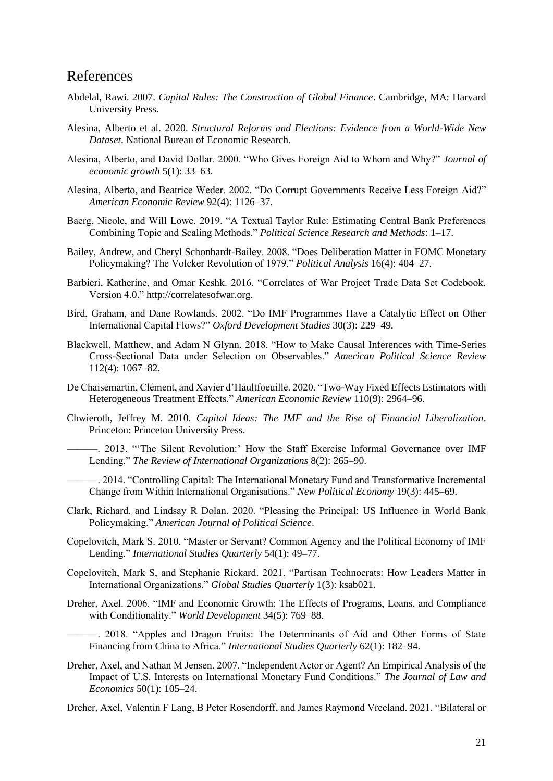### References

- Abdelal, Rawi. 2007. *Capital Rules: The Construction of Global Finance*. Cambridge, MA: Harvard University Press.
- Alesina, Alberto et al. 2020. *Structural Reforms and Elections: Evidence from a World-Wide New Dataset*. National Bureau of Economic Research.
- Alesina, Alberto, and David Dollar. 2000. "Who Gives Foreign Aid to Whom and Why?" *Journal of economic growth* 5(1): 33–63.
- Alesina, Alberto, and Beatrice Weder. 2002. "Do Corrupt Governments Receive Less Foreign Aid?" *American Economic Review* 92(4): 1126–37.
- Baerg, Nicole, and Will Lowe. 2019. "A Textual Taylor Rule: Estimating Central Bank Preferences Combining Topic and Scaling Methods." *Political Science Research and Methods*: 1–17.
- Bailey, Andrew, and Cheryl Schonhardt-Bailey. 2008. "Does Deliberation Matter in FOMC Monetary Policymaking? The Volcker Revolution of 1979." *Political Analysis* 16(4): 404–27.
- Barbieri, Katherine, and Omar Keshk. 2016. "Correlates of War Project Trade Data Set Codebook, Version 4.0." http://correlatesofwar.org.
- Bird, Graham, and Dane Rowlands. 2002. "Do IMF Programmes Have a Catalytic Effect on Other International Capital Flows?" *Oxford Development Studies* 30(3): 229–49.
- Blackwell, Matthew, and Adam N Glynn. 2018. "How to Make Causal Inferences with Time-Series Cross-Sectional Data under Selection on Observables." *American Political Science Review* 112(4): 1067–82.
- De Chaisemartin, Clément, and Xavier d'Haultfoeuille. 2020. "Two-Way Fixed Effects Estimators with Heterogeneous Treatment Effects." *American Economic Review* 110(9): 2964–96.
- Chwieroth, Jeffrey M. 2010. *Capital Ideas: The IMF and the Rise of Financial Liberalization*. Princeton: Princeton University Press.
	- ———. 2013. "'The Silent Revolution:' How the Staff Exercise Informal Governance over IMF Lending." *The Review of International Organizations* 8(2): 265–90.
	- ———. 2014. "Controlling Capital: The International Monetary Fund and Transformative Incremental Change from Within International Organisations." *New Political Economy* 19(3): 445–69.
- Clark, Richard, and Lindsay R Dolan. 2020. "Pleasing the Principal: US Influence in World Bank Policymaking." *American Journal of Political Science*.
- Copelovitch, Mark S. 2010. "Master or Servant? Common Agency and the Political Economy of IMF Lending." *International Studies Quarterly* 54(1): 49–77.
- Copelovitch, Mark S, and Stephanie Rickard. 2021. "Partisan Technocrats: How Leaders Matter in International Organizations." *Global Studies Quarterly* 1(3): ksab021.
- Dreher, Axel. 2006. "IMF and Economic Growth: The Effects of Programs, Loans, and Compliance with Conditionality." *World Development* 34(5): 769–88.
	- ———. 2018. "Apples and Dragon Fruits: The Determinants of Aid and Other Forms of State Financing from China to Africa." *International Studies Quarterly* 62(1): 182–94.
- Dreher, Axel, and Nathan M Jensen. 2007. "Independent Actor or Agent? An Empirical Analysis of the Impact of U.S. Interests on International Monetary Fund Conditions." *The Journal of Law and Economics* 50(1): 105–24.

Dreher, Axel, Valentin F Lang, B Peter Rosendorff, and James Raymond Vreeland. 2021. "Bilateral or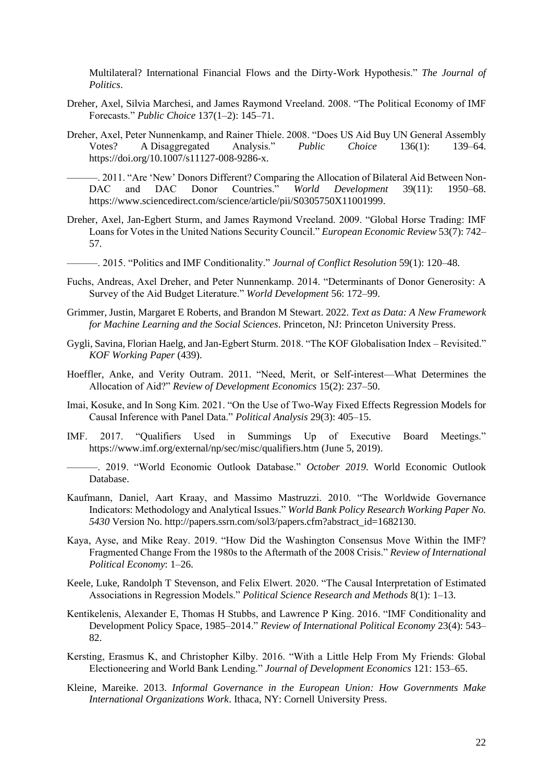Multilateral? International Financial Flows and the Dirty-Work Hypothesis." *The Journal of Politics*.

- Dreher, Axel, Silvia Marchesi, and James Raymond Vreeland. 2008. "The Political Economy of IMF Forecasts." *Public Choice* 137(1–2): 145–71.
- Dreher, Axel, Peter Nunnenkamp, and Rainer Thiele. 2008. "Does US Aid Buy UN General Assembly Votes? A Disaggregated Analysis." *Public Choice* 136(1): 139–64. https://doi.org/10.1007/s11127-008-9286-x.

———. 2011. "Are 'New' Donors Different? Comparing the Allocation of Bilateral Aid Between Non-DAC and DAC Donor Countries." *World Development* 39(11): 1950–68. https://www.sciencedirect.com/science/article/pii/S0305750X11001999.

Dreher, Axel, Jan-Egbert Sturm, and James Raymond Vreeland. 2009. "Global Horse Trading: IMF Loans for Votes in the United Nations Security Council." *European Economic Review* 53(7): 742– 57.

———. 2015. "Politics and IMF Conditionality." *Journal of Conflict Resolution* 59(1): 120–48.

- Fuchs, Andreas, Axel Dreher, and Peter Nunnenkamp. 2014. "Determinants of Donor Generosity: A Survey of the Aid Budget Literature." *World Development* 56: 172–99.
- Grimmer, Justin, Margaret E Roberts, and Brandon M Stewart. 2022. *Text as Data: A New Framework for Machine Learning and the Social Sciences*. Princeton, NJ: Princeton University Press.
- Gygli, Savina, Florian Haelg, and Jan-Egbert Sturm. 2018. "The KOF Globalisation Index Revisited." *KOF Working Paper* (439).
- Hoeffler, Anke, and Verity Outram. 2011. "Need, Merit, or Self-interest-What Determines the Allocation of Aid?" *Review of Development Economics* 15(2): 237–50.
- Imai, Kosuke, and In Song Kim. 2021. "On the Use of Two-Way Fixed Effects Regression Models for Causal Inference with Panel Data." *Political Analysis* 29(3): 405–15.
- IMF. 2017. "Qualifiers Used in Summings Up of Executive Board Meetings." https://www.imf.org/external/np/sec/misc/qualifiers.htm (June 5, 2019).

———. 2019. "World Economic Outlook Database." *October 2019*. World Economic Outlook Database.

- Kaufmann, Daniel, Aart Kraay, and Massimo Mastruzzi. 2010. "The Worldwide Governance Indicators: Methodology and Analytical Issues." *World Bank Policy Research Working Paper No. 5430* Version No. http://papers.ssrn.com/sol3/papers.cfm?abstract\_id=1682130.
- Kaya, Ayse, and Mike Reay. 2019. "How Did the Washington Consensus Move Within the IMF? Fragmented Change From the 1980s to the Aftermath of the 2008 Crisis." *Review of International Political Economy*: 1–26.
- Keele, Luke, Randolph T Stevenson, and Felix Elwert. 2020. "The Causal Interpretation of Estimated Associations in Regression Models." *Political Science Research and Methods* 8(1): 1–13.
- Kentikelenis, Alexander E, Thomas H Stubbs, and Lawrence P King. 2016. "IMF Conditionality and Development Policy Space, 1985–2014." *Review of International Political Economy* 23(4): 543– 82.
- Kersting, Erasmus K, and Christopher Kilby. 2016. "With a Little Help From My Friends: Global Electioneering and World Bank Lending." *Journal of Development Economics* 121: 153–65.
- Kleine, Mareike. 2013. *Informal Governance in the European Union: How Governments Make International Organizations Work*. Ithaca, NY: Cornell University Press.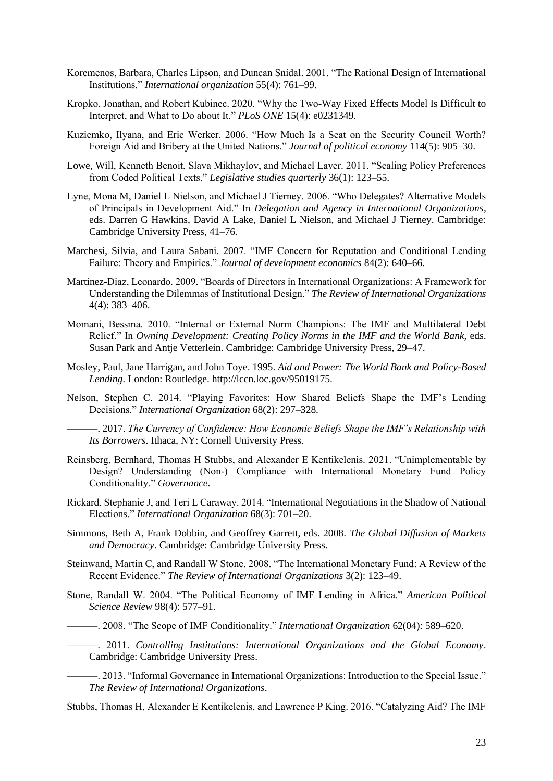- Koremenos, Barbara, Charles Lipson, and Duncan Snidal. 2001. "The Rational Design of International Institutions." *International organization* 55(4): 761–99.
- Kropko, Jonathan, and Robert Kubinec. 2020. "Why the Two-Way Fixed Effects Model Is Difficult to Interpret, and What to Do about It." *PLoS ONE* 15(4): e0231349.
- Kuziemko, Ilyana, and Eric Werker. 2006. "How Much Is a Seat on the Security Council Worth? Foreign Aid and Bribery at the United Nations." *Journal of political economy* 114(5): 905–30.
- Lowe, Will, Kenneth Benoit, Slava Mikhaylov, and Michael Laver. 2011. "Scaling Policy Preferences from Coded Political Texts." *Legislative studies quarterly* 36(1): 123–55.
- Lyne, Mona M, Daniel L Nielson, and Michael J Tierney. 2006. "Who Delegates? Alternative Models of Principals in Development Aid." In *Delegation and Agency in International Organizations*, eds. Darren G Hawkins, David A Lake, Daniel L Nielson, and Michael J Tierney. Cambridge: Cambridge University Press, 41–76.
- Marchesi, Silvia, and Laura Sabani. 2007. "IMF Concern for Reputation and Conditional Lending Failure: Theory and Empirics." *Journal of development economics* 84(2): 640–66.
- Martinez-Diaz, Leonardo. 2009. "Boards of Directors in International Organizations: A Framework for Understanding the Dilemmas of Institutional Design." *The Review of International Organizations* 4(4): 383–406.
- Momani, Bessma. 2010. "Internal or External Norm Champions: The IMF and Multilateral Debt Relief." In *Owning Development: Creating Policy Norms in the IMF and the World Bank*, eds. Susan Park and Antje Vetterlein. Cambridge: Cambridge University Press, 29–47.
- Mosley, Paul, Jane Harrigan, and John Toye. 1995. *Aid and Power: The World Bank and Policy-Based Lending*. London: Routledge. http://lccn.loc.gov/95019175.
- Nelson, Stephen C. 2014. "Playing Favorites: How Shared Beliefs Shape the IMF's Lending Decisions." *International Organization* 68(2): 297–328.

———. 2017. *The Currency of Confidence: How Economic Beliefs Shape the IMF's Relationship with Its Borrowers*. Ithaca, NY: Cornell University Press.

- Reinsberg, Bernhard, Thomas H Stubbs, and Alexander E Kentikelenis. 2021. "Unimplementable by Design? Understanding (Non‐) Compliance with International Monetary Fund Policy Conditionality." *Governance*.
- Rickard, Stephanie J, and Teri L Caraway. 2014. "International Negotiations in the Shadow of National Elections." *International Organization* 68(3): 701–20.
- Simmons, Beth A, Frank Dobbin, and Geoffrey Garrett, eds. 2008. *The Global Diffusion of Markets and Democracy*. Cambridge: Cambridge University Press.
- Steinwand, Martin C, and Randall W Stone. 2008. "The International Monetary Fund: A Review of the Recent Evidence." *The Review of International Organizations* 3(2): 123–49.
- Stone, Randall W. 2004. "The Political Economy of IMF Lending in Africa." *American Political Science Review* 98(4): 577–91.
- ———. 2008. "The Scope of IMF Conditionality." *International Organization* 62(04): 589–620.
- ———. 2011. *Controlling Institutions: International Organizations and the Global Economy*. Cambridge: Cambridge University Press.
- ———. 2013. "Informal Governance in International Organizations: Introduction to the Special Issue." *The Review of International Organizations*.
- Stubbs, Thomas H, Alexander E Kentikelenis, and Lawrence P King. 2016. "Catalyzing Aid? The IMF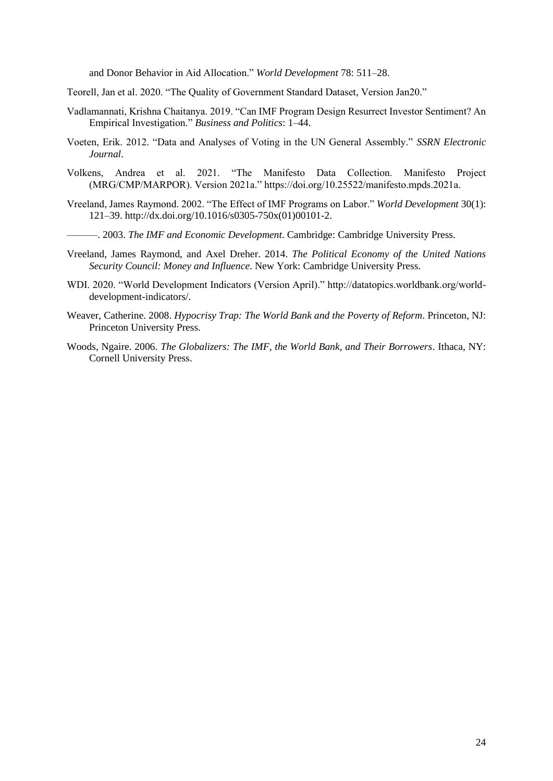and Donor Behavior in Aid Allocation." *World Development* 78: 511–28.

Teorell, Jan et al. 2020. "The Quality of Government Standard Dataset, Version Jan20."

- Vadlamannati, Krishna Chaitanya. 2019. "Can IMF Program Design Resurrect Investor Sentiment? An Empirical Investigation." *Business and Politics*: 1–44.
- Voeten, Erik. 2012. "Data and Analyses of Voting in the UN General Assembly." *SSRN Electronic Journal*.
- Volkens, Andrea et al. 2021. "The Manifesto Data Collection. Manifesto Project (MRG/CMP/MARPOR). Version 2021a." https://doi.org/10.25522/manifesto.mpds.2021a.
- Vreeland, James Raymond. 2002. "The Effect of IMF Programs on Labor." *World Development* 30(1): 121–39. http://dx.doi.org/10.1016/s0305-750x(01)00101-2.
- ———. 2003. *The IMF and Economic Development*. Cambridge: Cambridge University Press.
- Vreeland, James Raymond, and Axel Dreher. 2014. *The Political Economy of the United Nations Security Council: Money and Influence*. New York: Cambridge University Press.
- WDI. 2020. "World Development Indicators (Version April)." http://datatopics.worldbank.org/worlddevelopment-indicators/.
- Weaver, Catherine. 2008. *Hypocrisy Trap: The World Bank and the Poverty of Reform*. Princeton, NJ: Princeton University Press.
- Woods, Ngaire. 2006. *The Globalizers: The IMF, the World Bank, and Their Borrowers*. Ithaca, NY: Cornell University Press.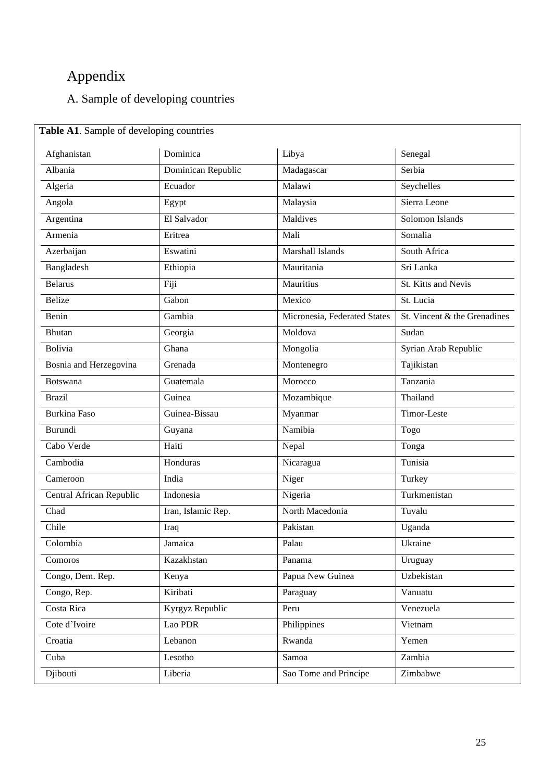# Appendix

# A. Sample of developing countries

| Afghanistan                       | Dominica           | Libya                        | Senegal                      |
|-----------------------------------|--------------------|------------------------------|------------------------------|
| Albania                           | Dominican Republic | Madagascar                   | Serbia                       |
| Algeria                           | Ecuador            | Malawi                       | Seychelles                   |
| Angola                            | Egypt              | Malaysia                     | Sierra Leone                 |
| Argentina                         | El Salvador        | Maldives                     | Solomon Islands              |
| Armenia                           | Eritrea            | Mali                         | Somalia                      |
| Azerbaijan                        | Eswatini           | <b>Marshall Islands</b>      | South Africa                 |
| Bangladesh                        | Ethiopia           | Mauritania                   | Sri Lanka                    |
| <b>Belarus</b>                    | Fiji               | Mauritius                    | St. Kitts and Nevis          |
| <b>Belize</b>                     | Gabon              | Mexico                       | St. Lucia                    |
| Benin                             | Gambia             | Micronesia, Federated States | St. Vincent & the Grenadines |
| <b>Bhutan</b>                     | Georgia            | Moldova                      | Sudan                        |
| Bolivia                           | Ghana              | Mongolia                     | Syrian Arab Republic         |
| Bosnia and Herzegovina<br>Grenada |                    | Montenegro                   | Tajikistan                   |
| <b>Botswana</b>                   | Guatemala          | Morocco                      | Tanzania                     |
| <b>Brazil</b>                     | Guinea             | Mozambique                   | Thailand                     |
| <b>Burkina Faso</b>               | Guinea-Bissau      | Myanmar                      | Timor-Leste                  |
| Burundi                           | Guyana             | Namibia                      | Togo                         |
| Cabo Verde                        | Haiti              | Nepal                        | Tonga                        |
| Cambodia                          | Honduras           | Nicaragua                    | Tunisia                      |
| Cameroon<br>India                 |                    | Niger                        | Turkey                       |
| Central African Republic          | Indonesia          | Nigeria                      | Turkmenistan                 |
| Chad                              | Iran, Islamic Rep. | North Macedonia              | Tuvalu                       |
| Chile                             | Iraq               | Pakistan                     | Uganda                       |
| Colombia                          | Jamaica            | Palau                        | Ukraine                      |
| Comoros                           | Kazakhstan         | Panama                       | Uruguay                      |
| Congo, Dem. Rep.                  | Kenya              | Papua New Guinea             | Uzbekistan                   |
| Congo, Rep.                       | Kiribati           | Paraguay                     | Vanuatu                      |
| Costa Rica                        | Kyrgyz Republic    | Peru                         | Venezuela                    |
| Cote d'Ivoire                     | Lao PDR            | Philippines                  | Vietnam                      |
| Croatia                           | Lebanon            | Rwanda                       | Yemen                        |
| Cuba                              | Lesotho            | Samoa                        | Zambia                       |
| Djibouti                          | Liberia            | Sao Tome and Principe        | Zimbabwe                     |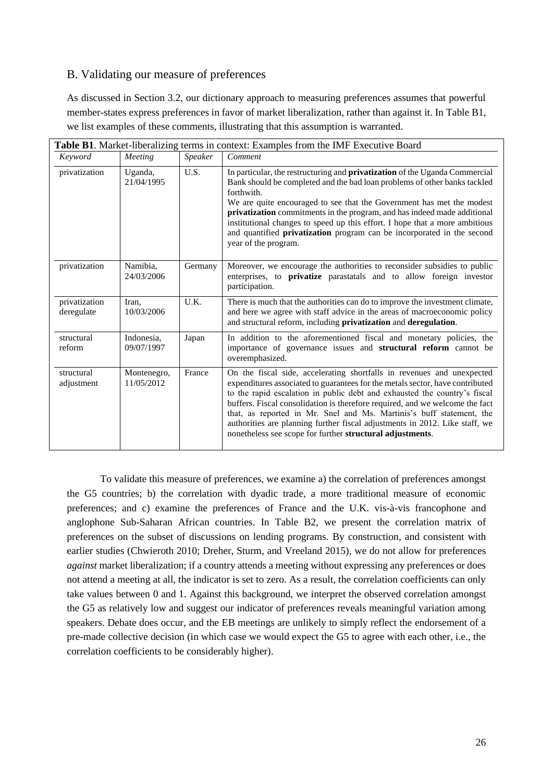### B. Validating our measure of preferences

As discussed in Section 3.2, our dictionary approach to measuring preferences assumes that powerful member-states express preferences in favor of market liberalization, rather than against it. In Table B1, we list examples of these comments, illustrating that this assumption is warranted.

|                             |                           |         | <b>Table B1.</b> Market-liberalizing terms in context: Examples from the IMF Executive Board                                                                                                                                                                                                                                                                                                                                                                                                                                             |
|-----------------------------|---------------------------|---------|------------------------------------------------------------------------------------------------------------------------------------------------------------------------------------------------------------------------------------------------------------------------------------------------------------------------------------------------------------------------------------------------------------------------------------------------------------------------------------------------------------------------------------------|
| Keyword                     | Meeting                   | Speaker | Comment                                                                                                                                                                                                                                                                                                                                                                                                                                                                                                                                  |
| privatization               | Uganda,<br>21/04/1995     | U.S.    | In particular, the restructuring and <b>privatization</b> of the Uganda Commercial<br>Bank should be completed and the bad loan problems of other banks tackled<br>forthwith.<br>We are quite encouraged to see that the Government has met the modest<br>privatization commitments in the program, and has indeed made additional<br>institutional changes to speed up this effort. I hope that a more ambitious<br>and quantified privatization program can be incorporated in the second<br>year of the program.                      |
| privatization               | Namibia,<br>24/03/2006    | Germany | Moreover, we encourage the authorities to reconsider subsidies to public<br>enterprises, to privatize parastatals and to allow foreign investor<br>participation.                                                                                                                                                                                                                                                                                                                                                                        |
| privatization<br>deregulate | Iran.<br>10/03/2006       | U.K.    | There is much that the authorities can do to improve the investment climate,<br>and here we agree with staff advice in the areas of macroeconomic policy<br>and structural reform, including privatization and deregulation.                                                                                                                                                                                                                                                                                                             |
| structural<br>reform        | Indonesia,<br>09/07/1997  | Japan   | In addition to the aforementioned fiscal and monetary policies, the<br>importance of governance issues and <b>structural reform</b> cannot be<br>overemphasized.                                                                                                                                                                                                                                                                                                                                                                         |
| structural<br>adjustment    | Montenegro,<br>11/05/2012 | France  | On the fiscal side, accelerating shortfalls in revenues and unexpected<br>expenditures associated to guarantees for the metals sector, have contributed<br>to the rapid escalation in public debt and exhausted the country's fiscal<br>buffers. Fiscal consolidation is therefore required, and we welcome the fact<br>that, as reported in Mr. Snel and Ms. Martinis's buff statement, the<br>authorities are planning further fiscal adjustments in 2012. Like staff, we<br>nonetheless see scope for further structural adjustments. |

To validate this measure of preferences, we examine a) the correlation of preferences amongst the G5 countries; b) the correlation with dyadic trade, a more traditional measure of economic preferences; and c) examine the preferences of France and the U.K. vis-à-vis francophone and anglophone Sub-Saharan African countries. In Table B2, we present the correlation matrix of preferences on the subset of discussions on lending programs. By construction, and consistent with earlier studies (Chwieroth 2010; Dreher, Sturm, and Vreeland 2015), we do not allow for preferences *against* market liberalization; if a country attends a meeting without expressing any preferences or does not attend a meeting at all, the indicator is set to zero. As a result, the correlation coefficients can only take values between 0 and 1. Against this background, we interpret the observed correlation amongst the G5 as relatively low and suggest our indicator of preferences reveals meaningful variation among speakers. Debate does occur, and the EB meetings are unlikely to simply reflect the endorsement of a pre-made collective decision (in which case we would expect the G5 to agree with each other, i.e., the correlation coefficients to be considerably higher).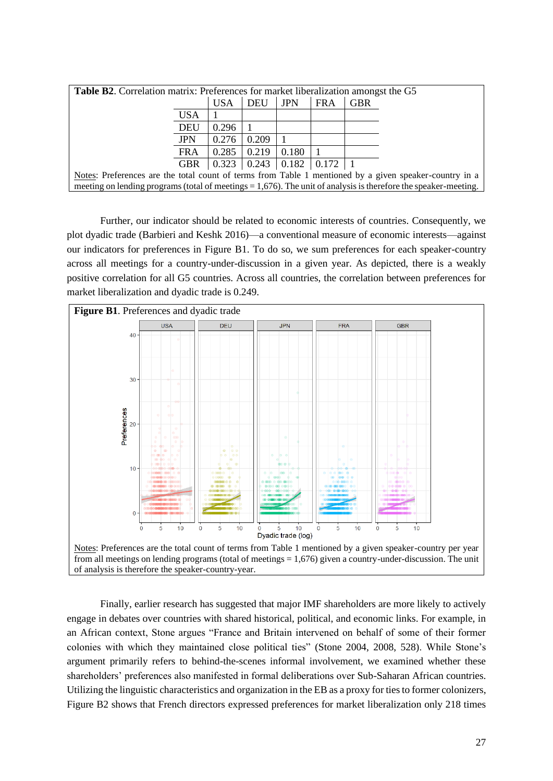| <b>Table B2.</b> Correlation matrix: Preferences for market liberalization amongst the G5              |            |                                                           |       |            |            |            |                                                                                                                    |
|--------------------------------------------------------------------------------------------------------|------------|-----------------------------------------------------------|-------|------------|------------|------------|--------------------------------------------------------------------------------------------------------------------|
|                                                                                                        |            | <b>USA</b>                                                | DEU   | <b>JPN</b> | <b>FRA</b> | <b>GBR</b> |                                                                                                                    |
|                                                                                                        | USA        |                                                           |       |            |            |            |                                                                                                                    |
|                                                                                                        | DEU        | 0.296                                                     |       |            |            |            |                                                                                                                    |
|                                                                                                        | <b>JPN</b> | 0.276                                                     | 0.209 |            |            |            |                                                                                                                    |
|                                                                                                        | <b>FRA</b> | 0.285                                                     | 0.219 | 0.180      |            |            |                                                                                                                    |
|                                                                                                        | GBR        | $\vert 0.323 \vert 0.243 \vert 0.182 \vert 0.172 \vert 1$ |       |            |            |            |                                                                                                                    |
| Notes: Preferences are the total count of terms from Table 1 mentioned by a given speaker-country in a |            |                                                           |       |            |            |            |                                                                                                                    |
|                                                                                                        |            |                                                           |       |            |            |            | meeting on lending programs (total of meetings $= 1,676$ ). The unit of analysis is therefore the speaker-meeting. |

Further, our indicator should be related to economic interests of countries. Consequently, we plot dyadic trade (Barbieri and Keshk 2016)—a conventional measure of economic interests—against our indicators for preferences in Figure B1. To do so, we sum preferences for each speaker-country across all meetings for a country-under-discussion in a given year. As depicted, there is a weakly positive correlation for all G5 countries. Across all countries, the correlation between preferences for market liberalization and dyadic trade is 0.249.



Finally, earlier research has suggested that major IMF shareholders are more likely to actively engage in debates over countries with shared historical, political, and economic links. For example, in an African context, Stone argues "France and Britain intervened on behalf of some of their former colonies with which they maintained close political ties" (Stone 2004, 2008, 528). While Stone's argument primarily refers to behind-the-scenes informal involvement, we examined whether these shareholders' preferences also manifested in formal deliberations over Sub-Saharan African countries. Utilizing the linguistic characteristics and organization in the EB as a proxy for ties to former colonizers, Figure B2 shows that French directors expressed preferences for market liberalization only 218 times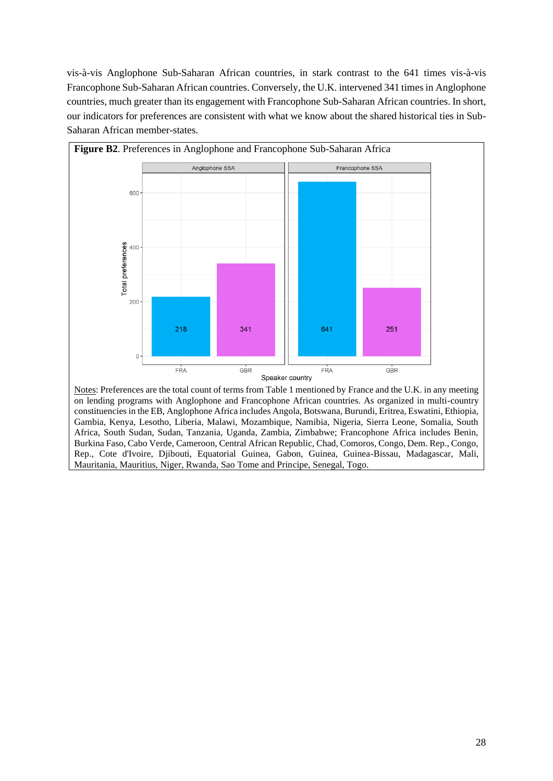vis-à-vis Anglophone Sub-Saharan African countries, in stark contrast to the 641 times vis-à-vis Francophone Sub-Saharan African countries. Conversely, the U.K. intervened 341 times in Anglophone countries, much greater than its engagement with Francophone Sub-Saharan African countries. In short, our indicators for preferences are consistent with what we know about the shared historical ties in Sub-Saharan African member-states.



Notes: Preferences are the total count of terms from Table 1 mentioned by France and the U.K. in any meeting on lending programs with Anglophone and Francophone African countries. As organized in multi-country constituencies in the EB, Anglophone Africa includes Angola, Botswana, Burundi, Eritrea, Eswatini, Ethiopia, Gambia, Kenya, Lesotho, Liberia, Malawi, Mozambique, Namibia, Nigeria, Sierra Leone, Somalia, South Africa, South Sudan, Sudan, Tanzania, Uganda, Zambia, Zimbabwe; Francophone Africa includes Benin, Burkina Faso, Cabo Verde, Cameroon, Central African Republic, Chad, Comoros, Congo, Dem. Rep., Congo, Rep., Cote d'Ivoire, Djibouti, Equatorial Guinea, Gabon, Guinea, Guinea-Bissau, Madagascar, Mali, Mauritania, Mauritius, Niger, Rwanda, Sao Tome and Principe, Senegal, Togo.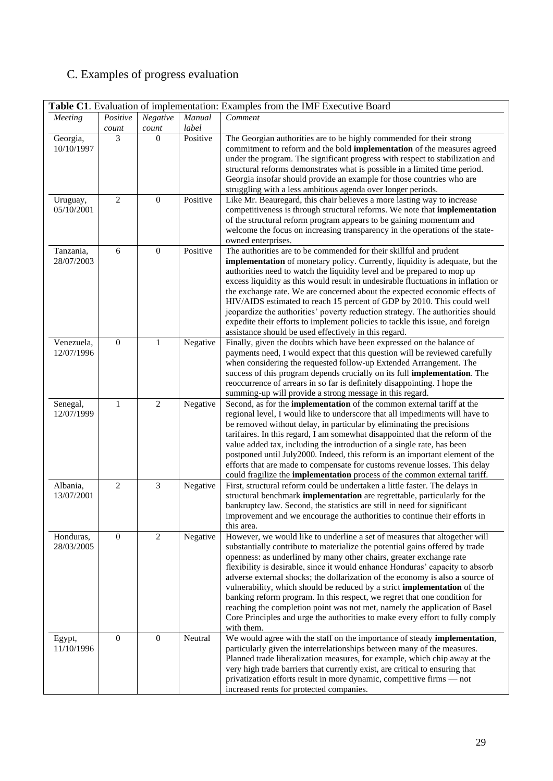# C. Examples of progress evaluation

|                          |                  |                  |          | Table C1. Evaluation of implementation: Examples from the IMF Executive Board                                                                                                                                                                                                                                                                                                                                                                                                                                                                                                                                                                                                                                                             |
|--------------------------|------------------|------------------|----------|-------------------------------------------------------------------------------------------------------------------------------------------------------------------------------------------------------------------------------------------------------------------------------------------------------------------------------------------------------------------------------------------------------------------------------------------------------------------------------------------------------------------------------------------------------------------------------------------------------------------------------------------------------------------------------------------------------------------------------------------|
| Meeting                  | Positive         | Negative         | Manual   | Comment                                                                                                                                                                                                                                                                                                                                                                                                                                                                                                                                                                                                                                                                                                                                   |
|                          | count            | count            | label    |                                                                                                                                                                                                                                                                                                                                                                                                                                                                                                                                                                                                                                                                                                                                           |
| Georgia,<br>10/10/1997   | 3                | $\Omega$         | Positive | The Georgian authorities are to be highly commended for their strong<br>commitment to reform and the bold implementation of the measures agreed<br>under the program. The significant progress with respect to stabilization and<br>structural reforms demonstrates what is possible in a limited time period.<br>Georgia insofar should provide an example for those countries who are<br>struggling with a less ambitious agenda over longer periods.                                                                                                                                                                                                                                                                                   |
| Uruguay,<br>05/10/2001   | $\mathbf{2}$     | $\boldsymbol{0}$ | Positive | Like Mr. Beauregard, this chair believes a more lasting way to increase<br>competitiveness is through structural reforms. We note that implementation<br>of the structural reform program appears to be gaining momentum and<br>welcome the focus on increasing transparency in the operations of the state-<br>owned enterprises.                                                                                                                                                                                                                                                                                                                                                                                                        |
| Tanzania,<br>28/07/2003  | 6                | $\boldsymbol{0}$ | Positive | The authorities are to be commended for their skillful and prudent<br>implementation of monetary policy. Currently, liquidity is adequate, but the<br>authorities need to watch the liquidity level and be prepared to mop up<br>excess liquidity as this would result in undesirable fluctuations in inflation or<br>the exchange rate. We are concerned about the expected economic effects of<br>HIV/AIDS estimated to reach 15 percent of GDP by 2010. This could well<br>jeopardize the authorities' poverty reduction strategy. The authorities should<br>expedite their efforts to implement policies to tackle this issue, and foreign<br>assistance should be used effectively in this regard.                                   |
| Venezuela,<br>12/07/1996 | $\boldsymbol{0}$ | $\mathbf{1}$     | Negative | Finally, given the doubts which have been expressed on the balance of<br>payments need, I would expect that this question will be reviewed carefully<br>when considering the requested follow-up Extended Arrangement. The<br>success of this program depends crucially on its full <b>implementation</b> . The<br>reoccurrence of arrears in so far is definitely disappointing. I hope the<br>summing-up will provide a strong message in this regard.                                                                                                                                                                                                                                                                                  |
| Senegal,<br>12/07/1999   | 1                | $\overline{2}$   | Negative | Second, as for the <b>implementation</b> $\overline{of}$ the common external tariff at the<br>regional level, I would like to underscore that all impediments will have to<br>be removed without delay, in particular by eliminating the precisions<br>tarifaires. In this regard, I am somewhat disappointed that the reform of the<br>value added tax, including the introduction of a single rate, has been<br>postponed until July2000. Indeed, this reform is an important element of the<br>efforts that are made to compensate for customs revenue losses. This delay<br>could fragilize the implementation process of the common external tariff.                                                                                 |
| Albania,<br>13/07/2001   | $\overline{2}$   | $\overline{3}$   | Negative | First, structural reform could be undertaken a little faster. The delays in<br>structural benchmark implementation are regrettable, particularly for the<br>bankruptcy law. Second, the statistics are still in need for significant<br>improvement and we encourage the authorities to continue their efforts in<br>this area.                                                                                                                                                                                                                                                                                                                                                                                                           |
| Honduras,<br>28/03/2005  | $\mathbf{0}$     | $\mathbf{2}$     | Negative | However, we would like to underline a set of measures that altogether will<br>substantially contribute to materialize the potential gains offered by trade<br>openness: as underlined by many other chairs, greater exchange rate<br>flexibility is desirable, since it would enhance Honduras' capacity to absorb<br>adverse external shocks; the dollarization of the economy is also a source of<br>vulnerability, which should be reduced by a strict implementation of the<br>banking reform program. In this respect, we regret that one condition for<br>reaching the completion point was not met, namely the application of Basel<br>Core Principles and urge the authorities to make every effort to fully comply<br>with them. |
| Egypt,<br>11/10/1996     | $\mathbf{0}$     | $\boldsymbol{0}$ | Neutral  | We would agree with the staff on the importance of steady implementation,<br>particularly given the interrelationships between many of the measures.<br>Planned trade liberalization measures, for example, which chip away at the<br>very high trade barriers that currently exist, are critical to ensuring that<br>privatization efforts result in more dynamic, competitive firms - not<br>increased rents for protected companies.                                                                                                                                                                                                                                                                                                   |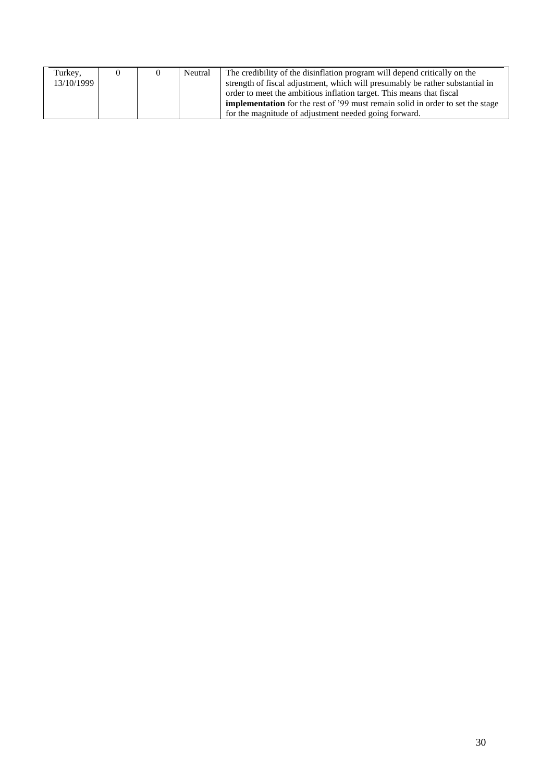| Turkey,    |  | Neutral | The credibility of the disinflation program will depend critically on the             |
|------------|--|---------|---------------------------------------------------------------------------------------|
| 13/10/1999 |  |         | strength of fiscal adjustment, which will presumably be rather substantial in         |
|            |  |         | order to meet the ambitious inflation target. This means that fiscal                  |
|            |  |         | <b>implementation</b> for the rest of '99 must remain solid in order to set the stage |
|            |  |         | for the magnitude of adjustment needed going forward.                                 |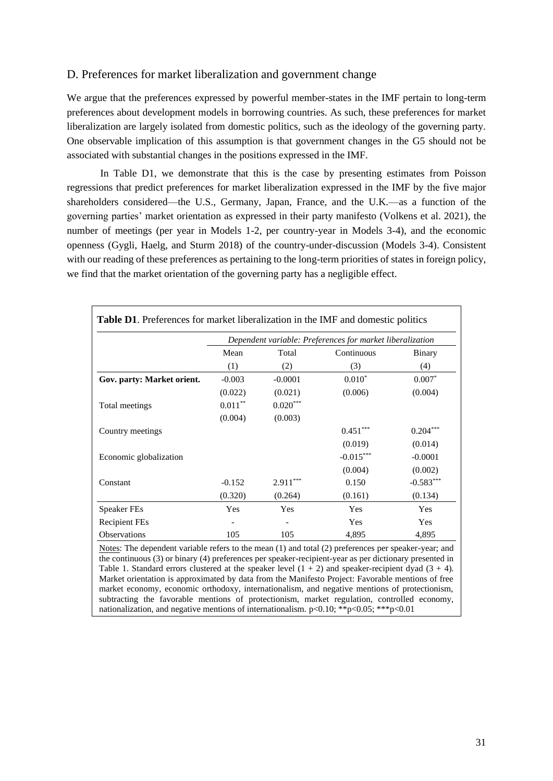### D. Preferences for market liberalization and government change

We argue that the preferences expressed by powerful member-states in the IMF pertain to long-term preferences about development models in borrowing countries. As such, these preferences for market liberalization are largely isolated from domestic politics, such as the ideology of the governing party. One observable implication of this assumption is that government changes in the G5 should not be associated with substantial changes in the positions expressed in the IMF.

In Table D1, we demonstrate that this is the case by presenting estimates from Poisson regressions that predict preferences for market liberalization expressed in the IMF by the five major shareholders considered—the U.S., Germany, Japan, France, and the U.K.—as a function of the governing parties' market orientation as expressed in their party manifesto (Volkens et al. 2021), the number of meetings (per year in Models 1-2, per country-year in Models 3-4), and the economic openness (Gygli, Haelg, and Sturm 2018) of the country-under-discussion (Models 3-4). Consistent with our reading of these preferences as pertaining to the long-term priorities of states in foreign policy, we find that the market orientation of the governing party has a negligible effect.

|                            |            |            | Dependent variable: Preferences for market liberalization |             |
|----------------------------|------------|------------|-----------------------------------------------------------|-------------|
|                            | Mean       | Total      | Continuous                                                | Binary      |
|                            | (1)        | (2)        | (3)                                                       | (4)         |
| Gov. party: Market orient. | $-0.003$   | $-0.0001$  | $0.010*$                                                  | $0.007*$    |
|                            | (0.022)    | (0.021)    | (0.006)                                                   | (0.004)     |
| Total meetings             | $0.011***$ | $0.020***$ |                                                           |             |
|                            | (0.004)    | (0.003)    |                                                           |             |
| Country meetings           |            |            | $0.451***$                                                | $0.204***$  |
|                            |            |            | (0.019)                                                   | (0.014)     |
| Economic globalization     |            |            | $-0.015***$                                               | $-0.0001$   |
|                            |            |            | (0.004)                                                   | (0.002)     |
| Constant                   | $-0.152$   | $2.911***$ | 0.150                                                     | $-0.583***$ |
|                            | (0.320)    | (0.264)    | (0.161)                                                   | (0.134)     |
| <b>Speaker FEs</b>         | Yes        | Yes        | Yes                                                       | Yes         |
| <b>Recipient FEs</b>       |            |            | Yes                                                       | Yes         |
| Observations               | 105        | 105        | 4,895                                                     | 4,895       |

ary (4) preferences per speaker-recipient-year as pe Table 1. Standard errors clustered at the speaker level  $(1 + 2)$  and speaker-recipient dyad  $(3 + 4)$ . Market orientation is approximated by data from the Manifesto Project: Favorable mentions of free market economy, economic orthodoxy, internationalism, and negative mentions of protectionism, subtracting the favorable mentions of protectionism, market regulation, controlled economy, nationalization, and negative mentions of internationalism. p<0.10; \*\*p<0.05; \*\*\*p<0.01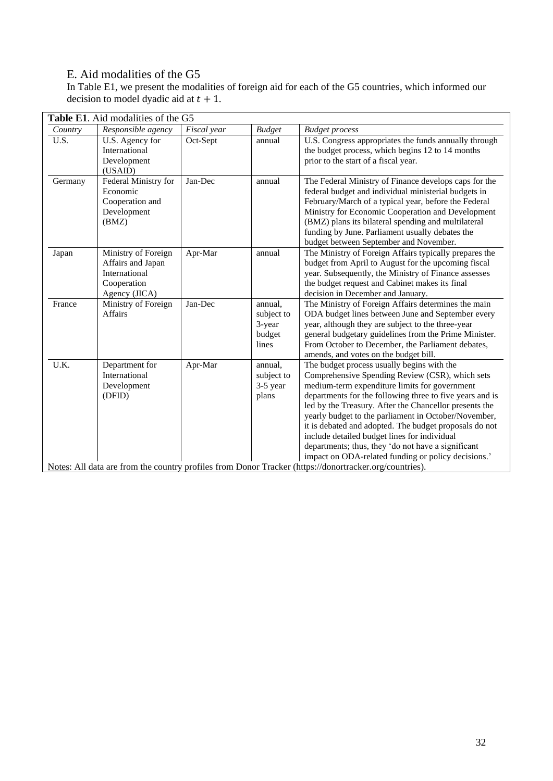## E. Aid modalities of the G5

In Table E1, we present the modalities of foreign aid for each of the G5 countries, which informed our decision to model dyadic aid at  $t + 1$ .

| Country | Responsible agency                                                                        | Fiscal year | <b>Budget</b>                                      | <b>Budget process</b>                                                                                                                                                                                                                                                                                                                                                                                                                                                                                                                               |
|---------|-------------------------------------------------------------------------------------------|-------------|----------------------------------------------------|-----------------------------------------------------------------------------------------------------------------------------------------------------------------------------------------------------------------------------------------------------------------------------------------------------------------------------------------------------------------------------------------------------------------------------------------------------------------------------------------------------------------------------------------------------|
| U.S.    | U.S. Agency for<br>International<br>Development<br>(USAID)                                | Oct-Sept    | annual                                             | U.S. Congress appropriates the funds annually through<br>the budget process, which begins 12 to 14 months<br>prior to the start of a fiscal year.                                                                                                                                                                                                                                                                                                                                                                                                   |
| Germany | Federal Ministry for<br>Economic<br>Cooperation and<br>Development<br>(BMZ)               | Jan-Dec     | annual                                             | The Federal Ministry of Finance develops caps for the<br>federal budget and individual ministerial budgets in<br>February/March of a typical year, before the Federal<br>Ministry for Economic Cooperation and Development<br>(BMZ) plans its bilateral spending and multilateral<br>funding by June. Parliament usually debates the<br>budget between September and November.                                                                                                                                                                      |
| Japan   | Ministry of Foreign<br>Affairs and Japan<br>International<br>Cooperation<br>Agency (JICA) | Apr-Mar     | annual                                             | The Ministry of Foreign Affairs typically prepares the<br>budget from April to August for the upcoming fiscal<br>year. Subsequently, the Ministry of Finance assesses<br>the budget request and Cabinet makes its final<br>decision in December and January.                                                                                                                                                                                                                                                                                        |
| France  | Ministry of Foreign<br>Affairs                                                            | Jan-Dec     | annual,<br>subject to<br>3-year<br>budget<br>lines | The Ministry of Foreign Affairs determines the main<br>ODA budget lines between June and September every<br>year, although they are subject to the three-year<br>general budgetary guidelines from the Prime Minister.<br>From October to December, the Parliament debates,<br>amends, and votes on the budget bill.                                                                                                                                                                                                                                |
| U.K.    | Department for<br>International<br>Development<br>(DFID)                                  | Apr-Mar     | annual,<br>subject to<br>3-5 year<br>plans         | The budget process usually begins with the<br>Comprehensive Spending Review (CSR), which sets<br>medium-term expenditure limits for government<br>departments for the following three to five years and is<br>led by the Treasury. After the Chancellor presents the<br>yearly budget to the parliament in October/November,<br>it is debated and adopted. The budget proposals do not<br>include detailed budget lines for individual<br>departments; thus, they 'do not have a significant<br>impact on ODA-related funding or policy decisions.' |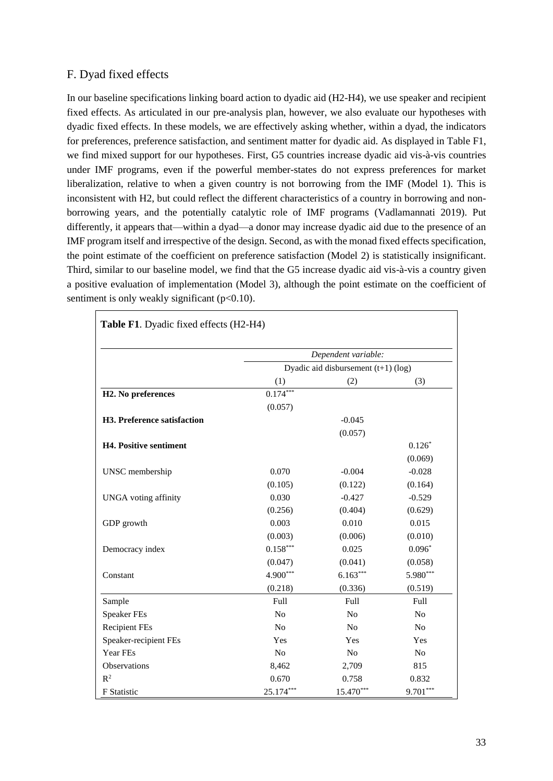### F. Dyad fixed effects

In our baseline specifications linking board action to dyadic aid (H2-H4), we use speaker and recipient fixed effects. As articulated in our pre-analysis plan, however, we also evaluate our hypotheses with dyadic fixed effects. In these models, we are effectively asking whether, within a dyad, the indicators for preferences, preference satisfaction, and sentiment matter for dyadic aid. As displayed in Table F1, we find mixed support for our hypotheses. First, G5 countries increase dyadic aid vis-à-vis countries under IMF programs, even if the powerful member-states do not express preferences for market liberalization, relative to when a given country is not borrowing from the IMF (Model 1). This is inconsistent with H2, but could reflect the different characteristics of a country in borrowing and nonborrowing years, and the potentially catalytic role of IMF programs (Vadlamannati 2019). Put differently, it appears that—within a dyad—a donor may increase dyadic aid due to the presence of an IMF program itself and irrespective of the design. Second, as with the monad fixed effects specification, the point estimate of the coefficient on preference satisfaction (Model 2) is statistically insignificant. Third, similar to our baseline model, we find that the G5 increase dyadic aid vis-à-vis a country given a positive evaluation of implementation (Model 3), although the point estimate on the coefficient of sentiment is only weakly significant  $(p<0.10)$ .

|                               |                | Dependent variable:                   |                |
|-------------------------------|----------------|---------------------------------------|----------------|
|                               |                | Dyadic aid disbursement $(t+1)$ (log) |                |
|                               | (1)            | (2)                                   | (3)            |
| H2. No preferences            | $0.174***$     |                                       |                |
|                               | (0.057)        |                                       |                |
| H3. Preference satisfaction   |                | $-0.045$                              |                |
|                               |                | (0.057)                               |                |
| <b>H4. Positive sentiment</b> |                |                                       | $0.126*$       |
|                               |                |                                       | (0.069)        |
| UNSC membership               | 0.070          | $-0.004$                              | $-0.028$       |
|                               | (0.105)        | (0.122)                               | (0.164)        |
| <b>UNGA</b> voting affinity   | 0.030          | $-0.427$                              | $-0.529$       |
|                               | (0.256)        | (0.404)                               | (0.629)        |
| GDP growth                    | 0.003          | 0.010                                 | 0.015          |
|                               | (0.003)        | (0.006)                               | (0.010)        |
| Democracy index               | $0.158***$     | 0.025                                 | $0.096*$       |
|                               | (0.047)        | (0.041)                               | (0.058)        |
| Constant                      | 4.900***       | $6.163***$                            | 5.980***       |
|                               | (0.218)        | (0.336)                               | (0.519)        |
| Sample                        | Full           | Full                                  | Full           |
| <b>Speaker FEs</b>            | N <sub>o</sub> | N <sub>o</sub>                        | N <sub>o</sub> |
| <b>Recipient FEs</b>          | N <sub>0</sub> | N <sub>0</sub>                        | N <sub>0</sub> |
| Speaker-recipient FEs         | Yes            | Yes                                   | Yes            |
| Year FEs                      | No             | N <sub>o</sub>                        | N <sub>o</sub> |
| Observations                  | 8,462          | 2,709                                 | 815            |
| $R^2$                         | 0.670          | 0.758                                 | 0.832          |
| <b>F</b> Statistic            | 25.174***      | 15.470***                             | $9.701***$     |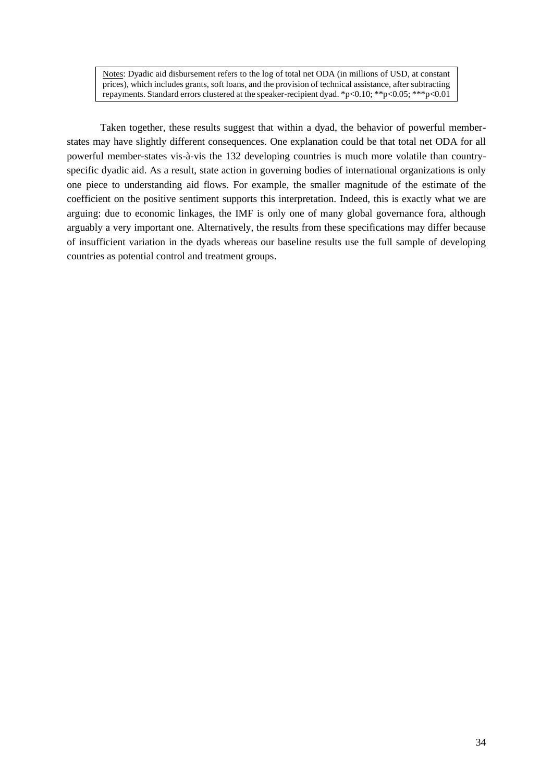Notes: Dyadic aid disbursement refers to the log of total net ODA (in millions of USD, at constant prices), which includes grants, soft loans, and the provision of technical assistance, after subtracting repayments. Standard errors clustered at the speaker-recipient dyad. \*p<0.10; \*\*p<0.05; \*\*\*p<0.01

Taken together, these results suggest that within a dyad, the behavior of powerful memberstates may have slightly different consequences. One explanation could be that total net ODA for all powerful member-states vis-à-vis the 132 developing countries is much more volatile than countryspecific dyadic aid. As a result, state action in governing bodies of international organizations is only one piece to understanding aid flows. For example, the smaller magnitude of the estimate of the coefficient on the positive sentiment supports this interpretation. Indeed, this is exactly what we are arguing: due to economic linkages, the IMF is only one of many global governance fora, although arguably a very important one. Alternatively, the results from these specifications may differ because of insufficient variation in the dyads whereas our baseline results use the full sample of developing countries as potential control and treatment groups.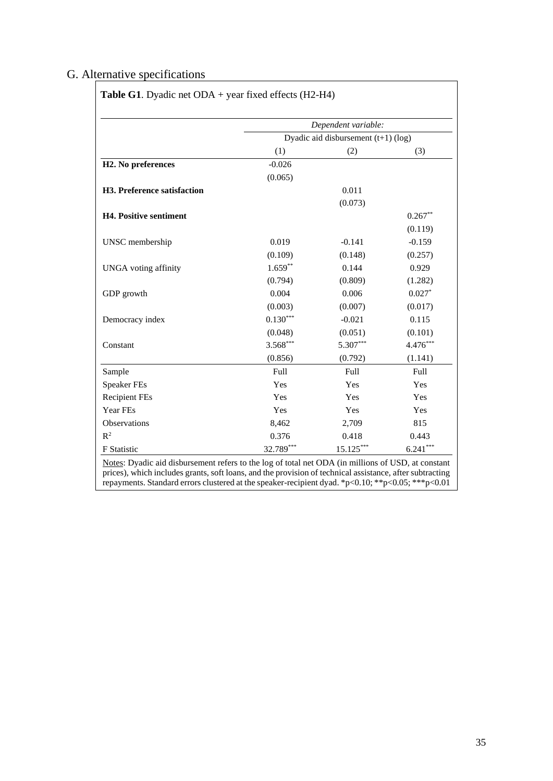## G. Alternative specifications

|                                 |                                     | Dependent variable: |            |  |  |
|---------------------------------|-------------------------------------|---------------------|------------|--|--|
|                                 | Dyadic aid disbursement (t+1) (log) |                     |            |  |  |
|                                 | (1)                                 | (2)                 | (3)        |  |  |
| H <sub>2</sub> . No preferences | $-0.026$                            |                     |            |  |  |
|                                 | (0.065)                             |                     |            |  |  |
| H3. Preference satisfaction     |                                     | 0.011               |            |  |  |
|                                 |                                     | (0.073)             |            |  |  |
| <b>H4. Positive sentiment</b>   |                                     |                     | $0.267**$  |  |  |
|                                 |                                     |                     | (0.119)    |  |  |
| UNSC membership                 | 0.019                               | $-0.141$            | $-0.159$   |  |  |
|                                 | (0.109)                             | (0.148)             | (0.257)    |  |  |
| <b>UNGA</b> voting affinity     | $1.659***$                          | 0.144               | 0.929      |  |  |
|                                 | (0.794)                             | (0.809)             | (1.282)    |  |  |
| GDP growth                      | 0.004                               | 0.006               | $0.027*$   |  |  |
|                                 | (0.003)                             | (0.007)             | (0.017)    |  |  |
| Democracy index                 | $0.130***$                          | $-0.021$            | 0.115      |  |  |
|                                 | (0.048)                             | (0.051)             | (0.101)    |  |  |
| Constant                        | 3.568***                            | 5.307***            | 4.476***   |  |  |
|                                 | (0.856)                             | (0.792)             | (1.141)    |  |  |
| Sample                          | Full                                | Full                | Full       |  |  |
| <b>Speaker FEs</b>              | Yes                                 | Yes                 | Yes        |  |  |
| <b>Recipient FEs</b>            | Yes                                 | Yes                 | Yes        |  |  |
| Year FEs                        | Yes                                 | Yes                 | Yes        |  |  |
| Observations                    | 8,462                               | 2,709               | 815        |  |  |
| $R^2$                           | 0.376                               | 0.418               | 0.443      |  |  |
| F Statistic                     | 32.789***                           | 15.125***           | $6.241***$ |  |  |

prices), which includes grants, soft loans, and the provision of technical assistance, after subtracting repayments. Standard errors clustered at the speaker-recipient dyad. \*p<0.10; \*\*p<0.05; \*\*\*p<0.01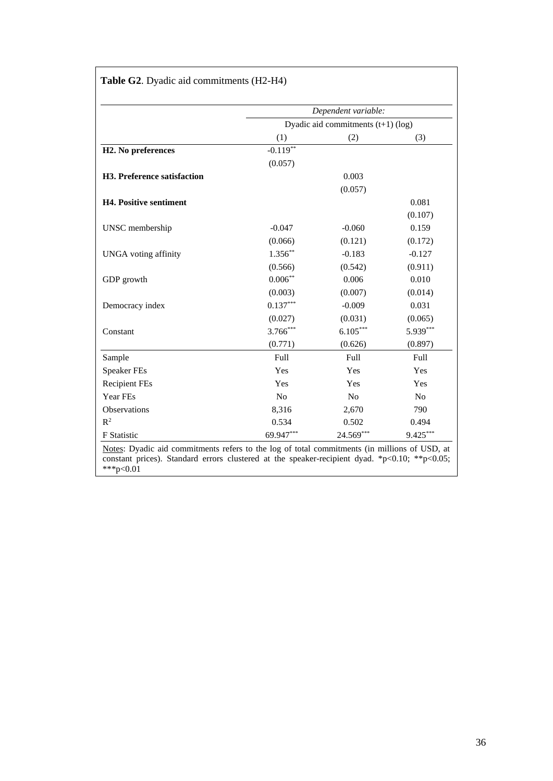|                                 |                | Dependent variable:                  |                |
|---------------------------------|----------------|--------------------------------------|----------------|
|                                 |                | Dyadic aid commitments $(t+1)$ (log) |                |
|                                 | (1)            | (2)                                  | (3)            |
| H <sub>2</sub> . No preferences | $-0.119**$     |                                      |                |
|                                 | (0.057)        |                                      |                |
| H3. Preference satisfaction     |                | 0.003                                |                |
|                                 |                | (0.057)                              |                |
| <b>H4. Positive sentiment</b>   |                |                                      | 0.081          |
|                                 |                |                                      | (0.107)        |
| UNSC membership                 | $-0.047$       | $-0.060$                             | 0.159          |
|                                 | (0.066)        | (0.121)                              | (0.172)        |
| <b>UNGA</b> voting affinity     | $1.356***$     | $-0.183$                             | $-0.127$       |
|                                 | (0.566)        | (0.542)                              | (0.911)        |
| GDP growth                      | $0.006***$     | 0.006                                | 0.010          |
|                                 | (0.003)        | (0.007)                              | (0.014)        |
| Democracy index                 | $0.137***$     | $-0.009$                             | 0.031          |
|                                 | (0.027)        | (0.031)                              | (0.065)        |
| Constant                        | $3.766***$     | $6.105***$                           | 5.939***       |
|                                 | (0.771)        | (0.626)                              | (0.897)        |
| Sample                          | Full           | Full                                 | Full           |
| <b>Speaker FEs</b>              | Yes            | Yes                                  | Yes            |
| <b>Recipient FEs</b>            | Yes            | Yes                                  | Yes            |
| Year FEs                        | N <sub>o</sub> | No                                   | N <sub>o</sub> |
| Observations                    | 8,316          | 2,670                                | 790            |
| $R^2$                           | 0.534          | 0.502                                | 0.494          |
| <b>F</b> Statistic              | 69.947***      | 24.569***                            | 9.425***       |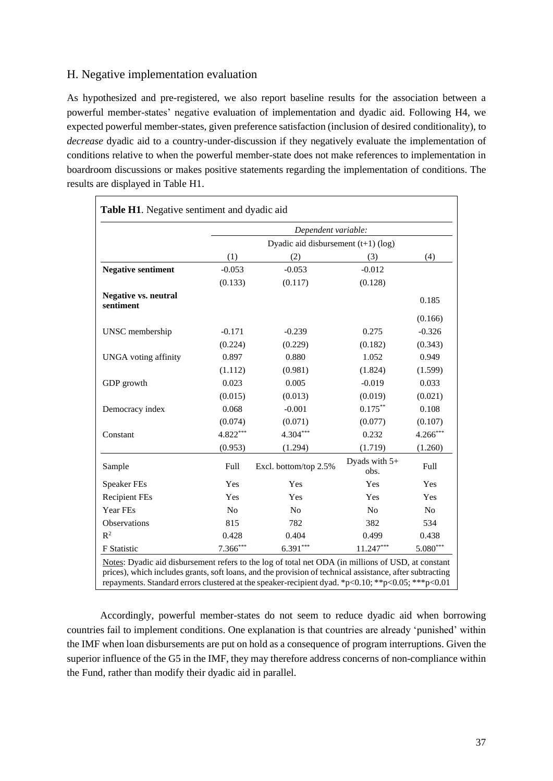### H. Negative implementation evaluation

As hypothesized and pre-registered, we also report baseline results for the association between a powerful member-states' negative evaluation of implementation and dyadic aid. Following H4, we expected powerful member-states, given preference satisfaction (inclusion of desired conditionality), to *decrease* dyadic aid to a country-under-discussion if they negatively evaluate the implementation of conditions relative to when the powerful member-state does not make references to implementation in boardroom discussions or makes positive statements regarding the implementation of conditions. The results are displayed in Table H1.

|                                          |            | Dependent variable:                   |                       |                |  |  |
|------------------------------------------|------------|---------------------------------------|-----------------------|----------------|--|--|
|                                          |            | Dyadic aid disbursement $(t+1)$ (log) |                       |                |  |  |
|                                          | (1)        | (2)                                   | (3)                   | (4)            |  |  |
| <b>Negative sentiment</b>                | $-0.053$   | $-0.053$                              | $-0.012$              |                |  |  |
|                                          | (0.133)    | (0.117)                               | (0.128)               |                |  |  |
| <b>Negative vs. neutral</b><br>sentiment |            |                                       |                       | 0.185          |  |  |
|                                          |            |                                       |                       | (0.166)        |  |  |
| UNSC membership                          | $-0.171$   | $-0.239$                              | 0.275                 | $-0.326$       |  |  |
|                                          | (0.224)    | (0.229)                               | (0.182)               | (0.343)        |  |  |
| <b>UNGA</b> voting affinity              | 0.897      | 0.880                                 | 1.052                 | 0.949          |  |  |
|                                          | (1.112)    | (0.981)                               | (1.824)               | (1.599)        |  |  |
| GDP growth                               | 0.023      | 0.005                                 | $-0.019$              | 0.033          |  |  |
|                                          | (0.015)    | (0.013)                               | (0.019)               | (0.021)        |  |  |
| Democracy index                          | 0.068      | $-0.001$                              | $0.175***$            | 0.108          |  |  |
|                                          | (0.074)    | (0.071)                               | (0.077)               | (0.107)        |  |  |
| Constant                                 | 4.822***   | 4.304***                              | 0.232                 | 4.266***       |  |  |
|                                          | (0.953)    | (1.294)                               | (1.719)               | (1.260)        |  |  |
| Sample                                   | Full       | Excl. bottom/top 2.5%                 | Dyads with 5+<br>obs. | Full           |  |  |
| <b>Speaker FEs</b>                       | Yes        | Yes                                   | Yes                   | Yes            |  |  |
| <b>Recipient FEs</b>                     | Yes        | Yes                                   | Yes                   | Yes            |  |  |
| Year FEs                                 | No         | No                                    | N <sub>o</sub>        | N <sub>o</sub> |  |  |
| Observations                             | 815        | 782                                   | 382                   | 534            |  |  |
| $R^2$                                    | 0.428      | 0.404                                 | 0.499                 | 0.438          |  |  |
| F Statistic                              | $7.366***$ | $6.391***$                            | $11.247***$           | $5.080***$     |  |  |

Accordingly, powerful member-states do not seem to reduce dyadic aid when borrowing countries fail to implement conditions. One explanation is that countries are already 'punished' within the IMF when loan disbursements are put on hold as a consequence of program interruptions. Given the superior influence of the G5 in the IMF, they may therefore address concerns of non-compliance within the Fund, rather than modify their dyadic aid in parallel.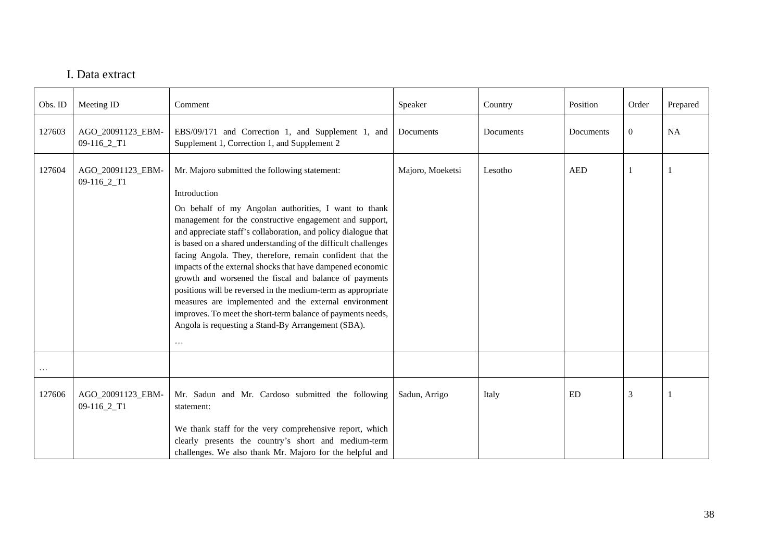### I. Data extract

| Obs. ID  | Meeting ID                       | Comment                                                                                                                                                                                                                                                                                                                                                                                                                                                                                                                                                                                                                                                                                                                                                             | Speaker          | Country   | Position   | Order          | Prepared |
|----------|----------------------------------|---------------------------------------------------------------------------------------------------------------------------------------------------------------------------------------------------------------------------------------------------------------------------------------------------------------------------------------------------------------------------------------------------------------------------------------------------------------------------------------------------------------------------------------------------------------------------------------------------------------------------------------------------------------------------------------------------------------------------------------------------------------------|------------------|-----------|------------|----------------|----------|
| 127603   | AGO_20091123_EBM-<br>09-116_2_T1 | EBS/09/171 and Correction 1, and Supplement 1, and<br>Supplement 1, Correction 1, and Supplement 2                                                                                                                                                                                                                                                                                                                                                                                                                                                                                                                                                                                                                                                                  | Documents        | Documents | Documents  | $\overline{0}$ | NA       |
| 127604   | AGO_20091123_EBM-<br>09-116_2_T1 | Mr. Majoro submitted the following statement:<br>Introduction<br>On behalf of my Angolan authorities, I want to thank<br>management for the constructive engagement and support,<br>and appreciate staff's collaboration, and policy dialogue that<br>is based on a shared understanding of the difficult challenges<br>facing Angola. They, therefore, remain confident that the<br>impacts of the external shocks that have dampened economic<br>growth and worsened the fiscal and balance of payments<br>positions will be reversed in the medium-term as appropriate<br>measures are implemented and the external environment<br>improves. To meet the short-term balance of payments needs,<br>Angola is requesting a Stand-By Arrangement (SBA).<br>$\cdots$ | Majoro, Moeketsi | Lesotho   | <b>AED</b> |                |          |
| $\cdots$ |                                  |                                                                                                                                                                                                                                                                                                                                                                                                                                                                                                                                                                                                                                                                                                                                                                     |                  |           |            |                |          |
| 127606   | AGO_20091123_EBM-<br>09-116_2_T1 | Mr. Sadun and Mr. Cardoso submitted the following<br>statement:<br>We thank staff for the very comprehensive report, which                                                                                                                                                                                                                                                                                                                                                                                                                                                                                                                                                                                                                                          | Sadun, Arrigo    | Italy     | ED         | 3              |          |
|          |                                  | clearly presents the country's short and medium-term<br>challenges. We also thank Mr. Majoro for the helpful and                                                                                                                                                                                                                                                                                                                                                                                                                                                                                                                                                                                                                                                    |                  |           |            |                |          |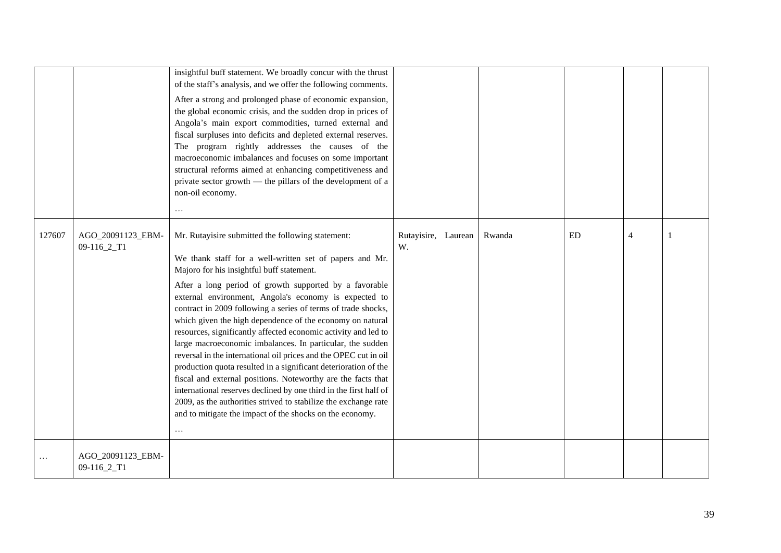|        |                                  | insightful buff statement. We broadly concur with the thrust<br>of the staff's analysis, and we offer the following comments.<br>After a strong and prolonged phase of economic expansion,<br>the global economic crisis, and the sudden drop in prices of<br>Angola's main export commodities, turned external and<br>fiscal surpluses into deficits and depleted external reserves.<br>The program rightly addresses the causes of the<br>macroeconomic imbalances and focuses on some important<br>structural reforms aimed at enhancing competitiveness and<br>private sector growth — the pillars of the development of a<br>non-oil economy.<br>$\cdots$                                                                                                                                                                                                                                                                                                   |                           |        |    |   |  |
|--------|----------------------------------|------------------------------------------------------------------------------------------------------------------------------------------------------------------------------------------------------------------------------------------------------------------------------------------------------------------------------------------------------------------------------------------------------------------------------------------------------------------------------------------------------------------------------------------------------------------------------------------------------------------------------------------------------------------------------------------------------------------------------------------------------------------------------------------------------------------------------------------------------------------------------------------------------------------------------------------------------------------|---------------------------|--------|----|---|--|
| 127607 | AGO_20091123_EBM-<br>09-116_2_T1 | Mr. Rutayisire submitted the following statement:<br>We thank staff for a well-written set of papers and Mr.<br>Majoro for his insightful buff statement.<br>After a long period of growth supported by a favorable<br>external environment, Angola's economy is expected to<br>contract in 2009 following a series of terms of trade shocks,<br>which given the high dependence of the economy on natural<br>resources, significantly affected economic activity and led to<br>large macroeconomic imbalances. In particular, the sudden<br>reversal in the international oil prices and the OPEC cut in oil<br>production quota resulted in a significant deterioration of the<br>fiscal and external positions. Noteworthy are the facts that<br>international reserves declined by one third in the first half of<br>2009, as the authorities strived to stabilize the exchange rate<br>and to mitigate the impact of the shocks on the economy.<br>$\cdots$ | Rutayisire, Laurean<br>W. | Rwanda | ED | 4 |  |
|        | AGO_20091123_EBM-<br>09-116_2_T1 |                                                                                                                                                                                                                                                                                                                                                                                                                                                                                                                                                                                                                                                                                                                                                                                                                                                                                                                                                                  |                           |        |    |   |  |